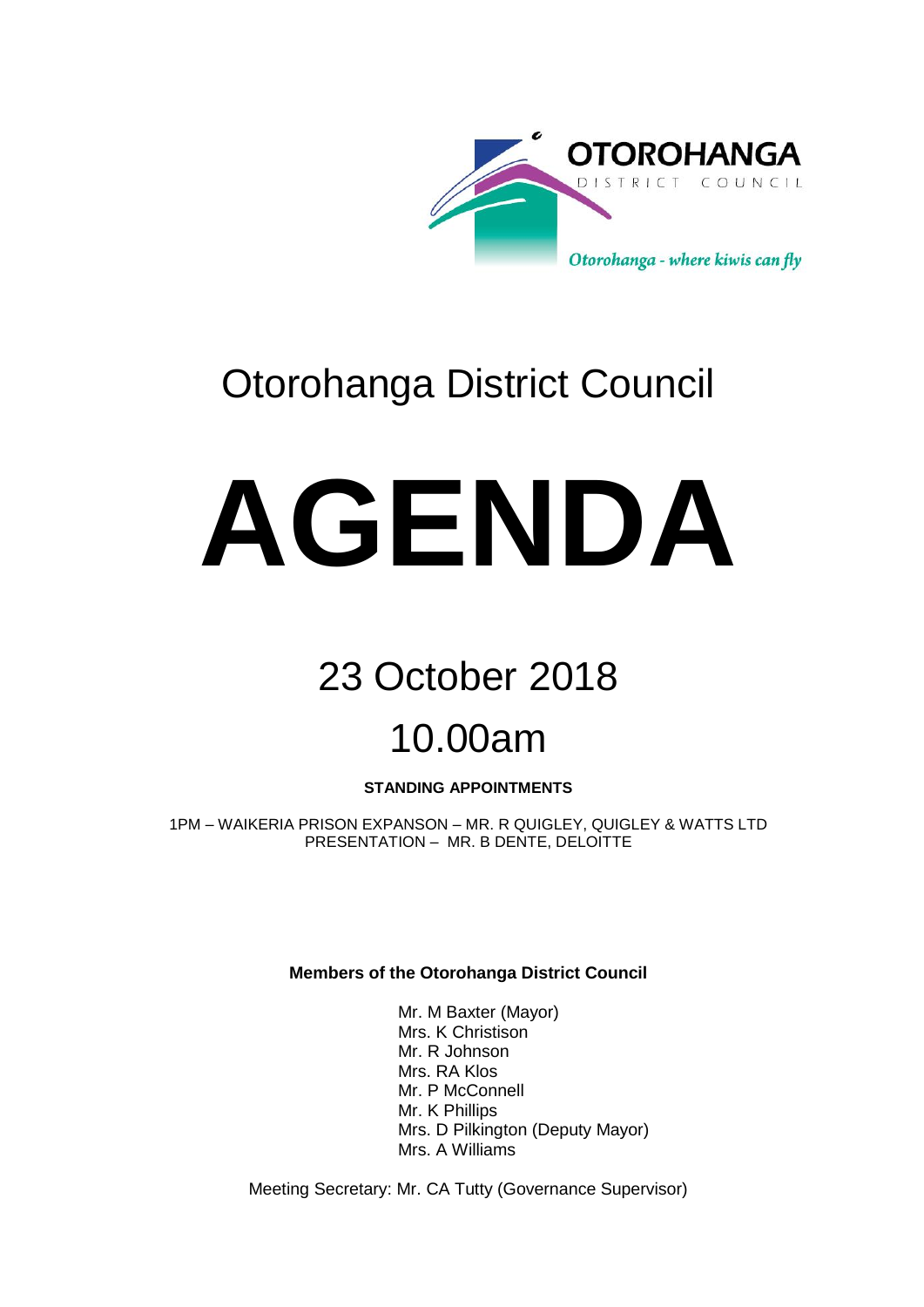

# Otorohanga District Council

# **AGENDA**

# 23 October 2018

# 10.00am

### **STANDING APPOINTMENTS**

1PM – WAIKERIA PRISON EXPANSON – MR. R QUIGLEY, QUIGLEY & WATTS LTD PRESENTATION – MR. B DENTE, DELOITTE

**Members of the Otorohanga District Council**

Mr. M Baxter (Mayor) Mrs. K Christison Mr. R Johnson Mrs. RA Klos Mr. P McConnell Mr. K Phillips Mrs. D Pilkington (Deputy Mayor) Mrs. A Williams

Meeting Secretary: Mr. CA Tutty (Governance Supervisor)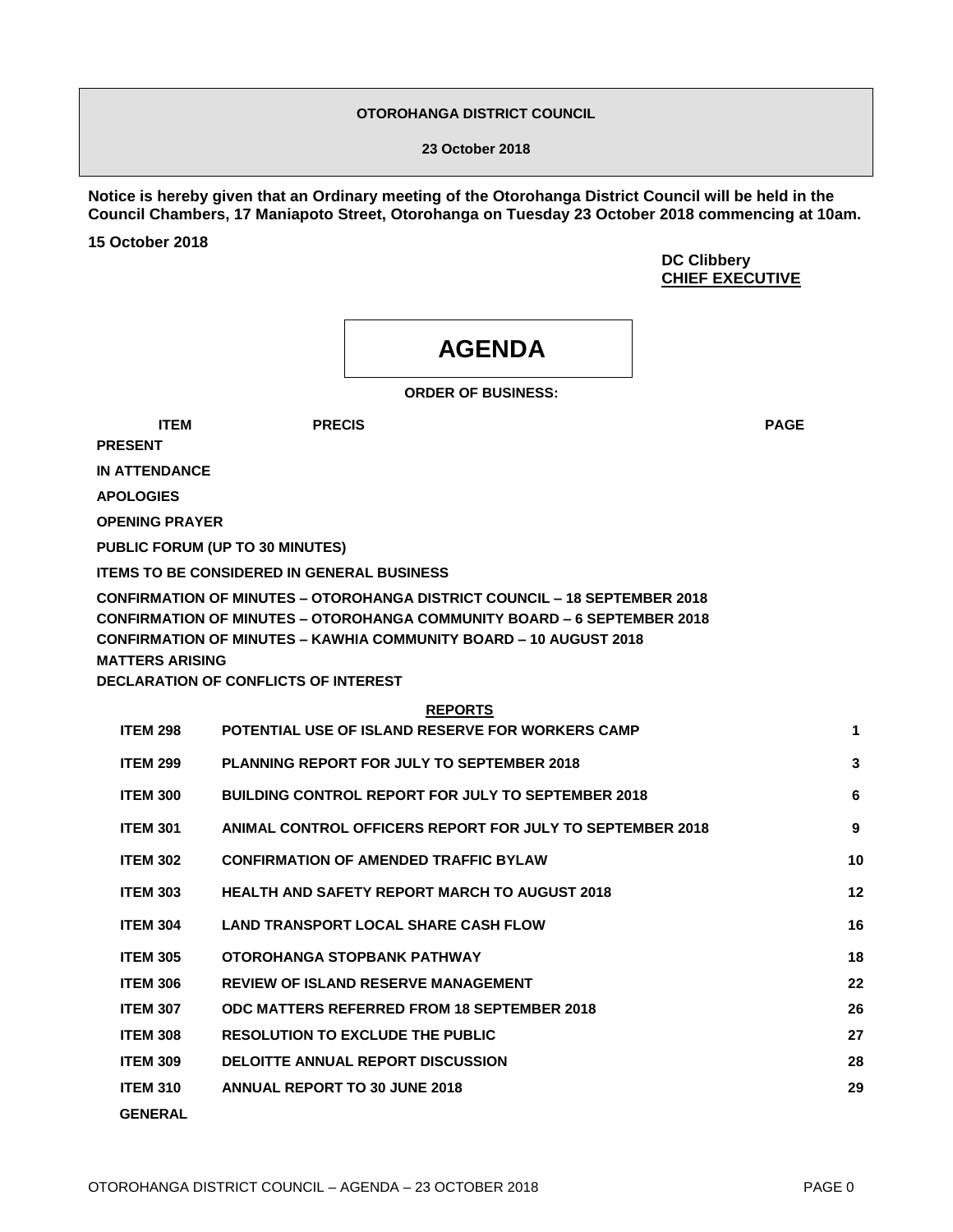#### **OTOROHANGA DISTRICT COUNCIL**

**23 October 2018**

**Notice is hereby given that an Ordinary meeting of the Otorohanga District Council will be held in the Council Chambers, 17 Maniapoto Street, Otorohanga on Tuesday 23 October 2018 commencing at 10am.** 

**15 October 2018**

**DC Clibbery CHIEF EXECUTIVE**

## **AGENDA**

**ORDER OF BUSINESS:**

**ITEM PRECIS PAGE**

**PRESENT**

**IN ATTENDANCE**

**APOLOGIES**

**OPENING PRAYER**

**PUBLIC FORUM (UP TO 30 MINUTES)**

**ITEMS TO BE CONSIDERED IN GENERAL BUSINESS**

**CONFIRMATION OF MINUTES – OTOROHANGA DISTRICT COUNCIL – 18 SEPTEMBER 2018 CONFIRMATION OF MINUTES – OTOROHANGA COMMUNITY BOARD – 6 SEPTEMBER 2018 CONFIRMATION OF MINUTES – KAWHIA COMMUNITY BOARD – 10 AUGUST 2018 MATTERS ARISING**

**DECLARATION OF CONFLICTS OF INTEREST**

| <b>ITEM 298</b> | POTENTIAL USE OF ISLAND RESERVE FOR WORKERS CAMP          | 1  |
|-----------------|-----------------------------------------------------------|----|
| <b>ITEM 299</b> | <b>PLANNING REPORT FOR JULY TO SEPTEMBER 2018</b>         | 3  |
| <b>ITEM 300</b> | <b>BUILDING CONTROL REPORT FOR JULY TO SEPTEMBER 2018</b> | 6  |
| <b>ITEM 301</b> | ANIMAL CONTROL OFFICERS REPORT FOR JULY TO SEPTEMBER 2018 | 9  |
| <b>ITEM 302</b> | <b>CONFIRMATION OF AMENDED TRAFFIC BYLAW</b>              | 10 |
| <b>ITEM 303</b> | <b>HEALTH AND SAFETY REPORT MARCH TO AUGUST 2018</b>      | 12 |
| <b>ITEM 304</b> | <b>LAND TRANSPORT LOCAL SHARE CASH FLOW</b>               | 16 |
| <b>ITEM 305</b> | OTOROHANGA STOPRANK PATHWAY                               | 18 |
| <b>ITEM 306</b> | <b>REVIEW OF ISLAND RESERVE MANAGEMENT</b>                | 22 |
| <b>ITEM 307</b> | <b>ODC MATTERS REFERRED FROM 18 SEPTEMBER 2018</b>        | 26 |
| <b>ITEM 308</b> | <b>RESOLUTION TO EXCLUDE THE PUBLIC</b>                   | 27 |
| <b>ITEM 309</b> | <b>DELOITTE ANNUAL REPORT DISCUSSION</b>                  | 28 |
| <b>ITEM 310</b> | ANNUAL REPORT TO 30 JUNE 2018                             | 29 |
| <b>GENERAL</b>  |                                                           |    |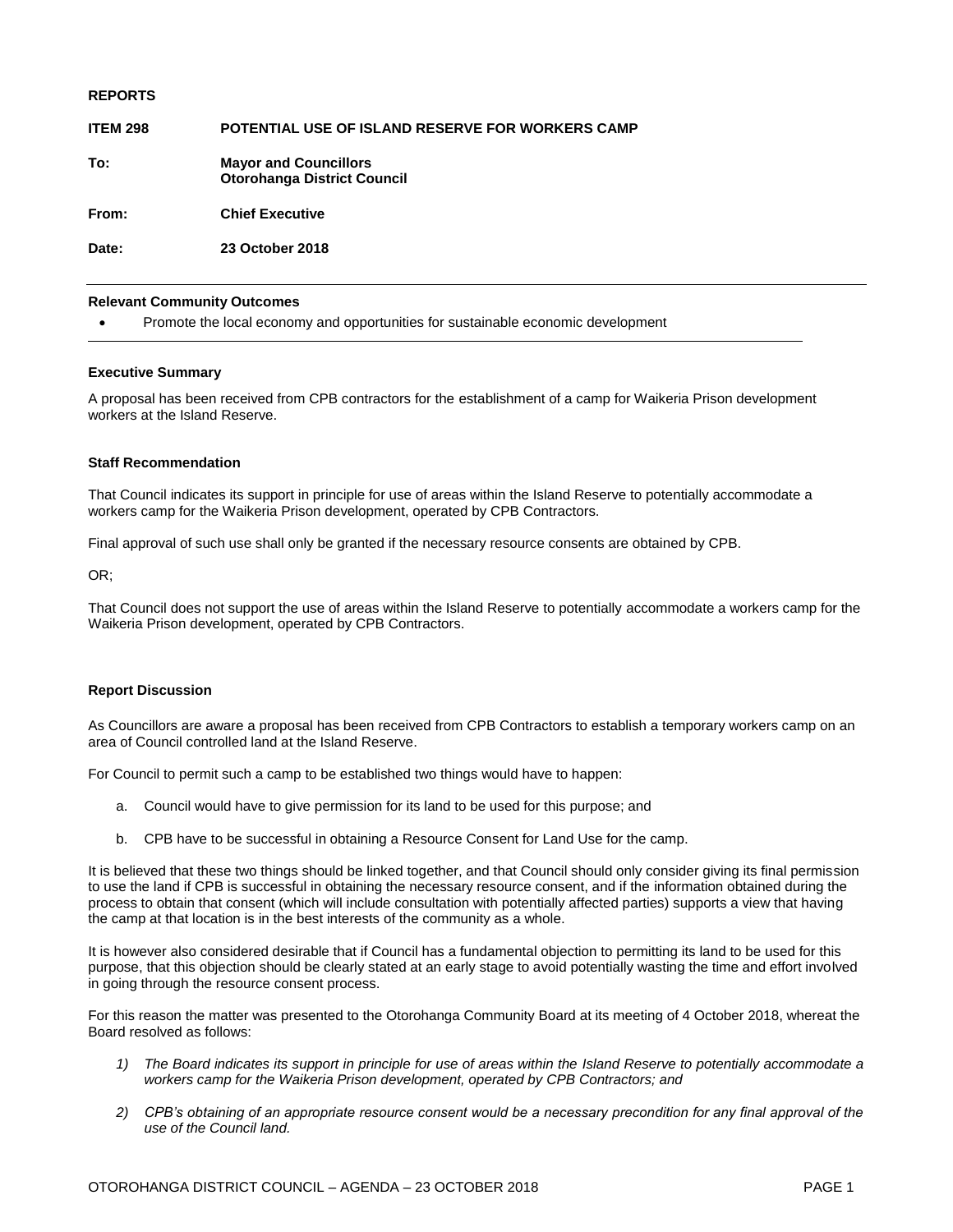| <b>REPORTS</b>  |                                                                    |
|-----------------|--------------------------------------------------------------------|
| <b>ITEM 298</b> | <b>POTENTIAL USE OF ISLAND RESERVE FOR WORKERS CAMP</b>            |
| To:             | <b>Mayor and Councillors</b><br><b>Otorohanga District Council</b> |
| From:           | <b>Chief Executive</b>                                             |
| Date:           | 23 October 2018                                                    |
|                 |                                                                    |

#### **Relevant Community Outcomes**

Promote the local economy and opportunities for sustainable economic development

#### **Executive Summary**

A proposal has been received from CPB contractors for the establishment of a camp for Waikeria Prison development workers at the Island Reserve.

#### **Staff Recommendation**

That Council indicates its support in principle for use of areas within the Island Reserve to potentially accommodate a workers camp for the Waikeria Prison development, operated by CPB Contractors.

Final approval of such use shall only be granted if the necessary resource consents are obtained by CPB.

OR;

That Council does not support the use of areas within the Island Reserve to potentially accommodate a workers camp for the Waikeria Prison development, operated by CPB Contractors.

#### **Report Discussion**

As Councillors are aware a proposal has been received from CPB Contractors to establish a temporary workers camp on an area of Council controlled land at the Island Reserve.

For Council to permit such a camp to be established two things would have to happen:

- a. Council would have to give permission for its land to be used for this purpose; and
- b. CPB have to be successful in obtaining a Resource Consent for Land Use for the camp.

It is believed that these two things should be linked together, and that Council should only consider giving its final permission to use the land if CPB is successful in obtaining the necessary resource consent, and if the information obtained during the process to obtain that consent (which will include consultation with potentially affected parties) supports a view that having the camp at that location is in the best interests of the community as a whole.

It is however also considered desirable that if Council has a fundamental objection to permitting its land to be used for this purpose, that this objection should be clearly stated at an early stage to avoid potentially wasting the time and effort involved in going through the resource consent process.

For this reason the matter was presented to the Otorohanga Community Board at its meeting of 4 October 2018, whereat the Board resolved as follows:

- *1) The Board indicates its support in principle for use of areas within the Island Reserve to potentially accommodate a workers camp for the Waikeria Prison development, operated by CPB Contractors; and*
- *2) CPB's obtaining of an appropriate resource consent would be a necessary precondition for any final approval of the use of the Council land.*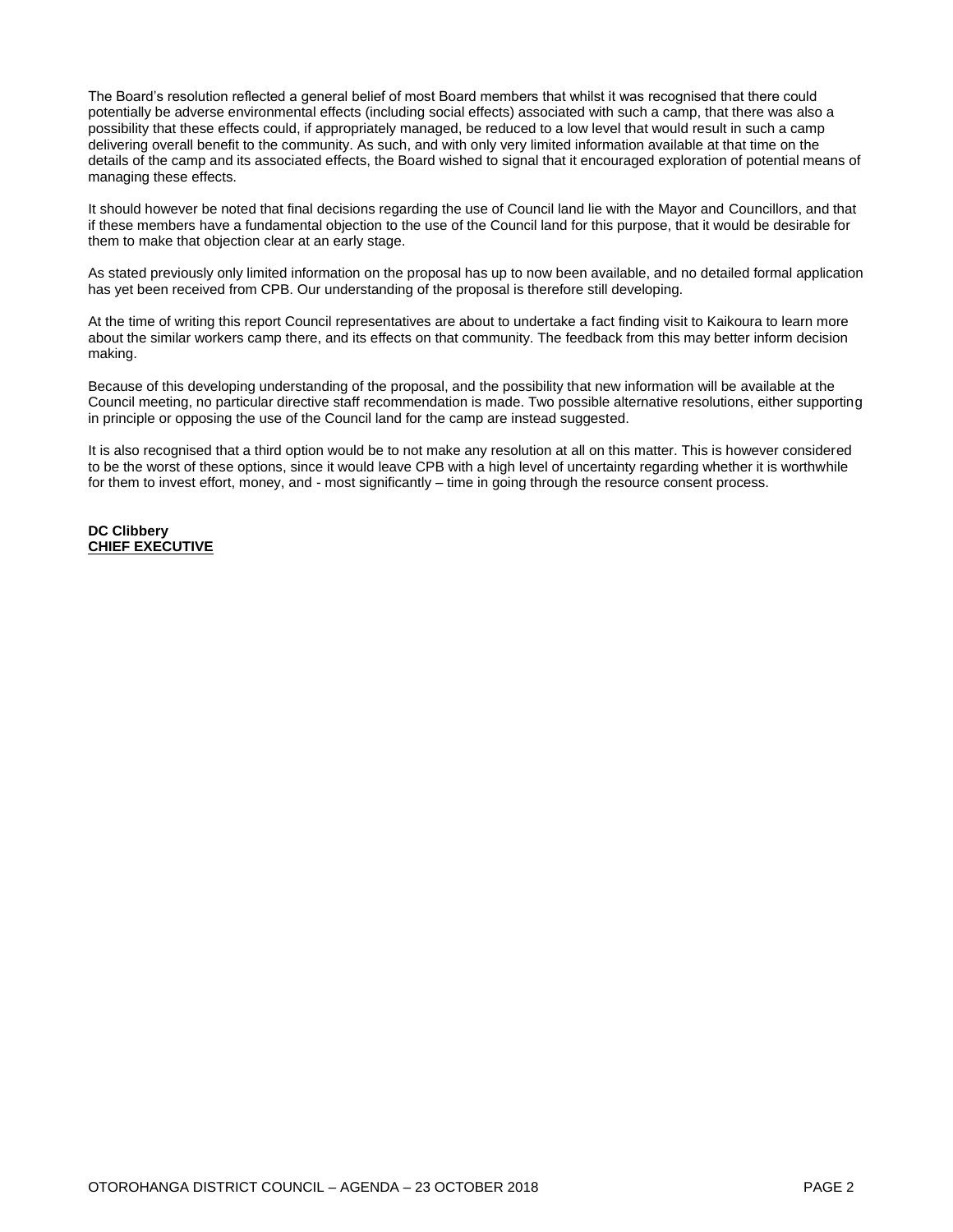The Board's resolution reflected a general belief of most Board members that whilst it was recognised that there could potentially be adverse environmental effects (including social effects) associated with such a camp, that there was also a possibility that these effects could, if appropriately managed, be reduced to a low level that would result in such a camp delivering overall benefit to the community. As such, and with only very limited information available at that time on the details of the camp and its associated effects, the Board wished to signal that it encouraged exploration of potential means of managing these effects.

It should however be noted that final decisions regarding the use of Council land lie with the Mayor and Councillors, and that if these members have a fundamental objection to the use of the Council land for this purpose, that it would be desirable for them to make that objection clear at an early stage.

As stated previously only limited information on the proposal has up to now been available, and no detailed formal application has yet been received from CPB. Our understanding of the proposal is therefore still developing.

At the time of writing this report Council representatives are about to undertake a fact finding visit to Kaikoura to learn more about the similar workers camp there, and its effects on that community. The feedback from this may better inform decision making.

Because of this developing understanding of the proposal, and the possibility that new information will be available at the Council meeting, no particular directive staff recommendation is made. Two possible alternative resolutions, either supporting in principle or opposing the use of the Council land for the camp are instead suggested.

It is also recognised that a third option would be to not make any resolution at all on this matter. This is however considered to be the worst of these options, since it would leave CPB with a high level of uncertainty regarding whether it is worthwhile for them to invest effort, money, and - most significantly – time in going through the resource consent process.

#### **DC Clibbery CHIEF EXECUTIVE**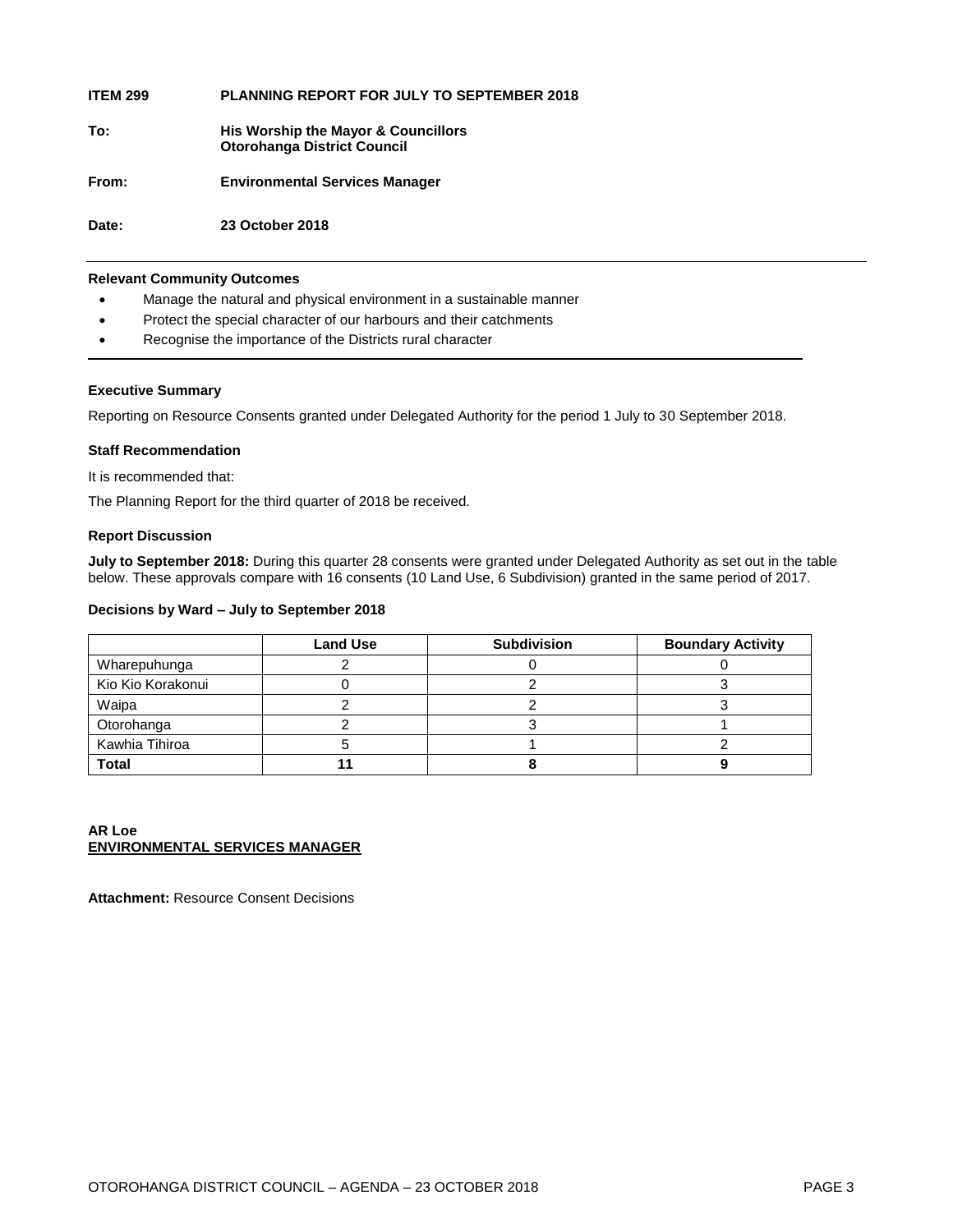| <b>ITEM 299</b> | <b>PLANNING REPORT FOR JULY TO SEPTEMBER 2018</b>                         |
|-----------------|---------------------------------------------------------------------------|
| To:             | His Worship the Mayor & Councillors<br><b>Otorohanga District Council</b> |
| From:           | <b>Environmental Services Manager</b>                                     |
| Date:           | 23 October 2018                                                           |
|                 |                                                                           |

#### **Relevant Community Outcomes**

- Manage the natural and physical environment in a sustainable manner
- Protect the special character of our harbours and their catchments
- Recognise the importance of the Districts rural character

#### **Executive Summary**

Reporting on Resource Consents granted under Delegated Authority for the period 1 July to 30 September 2018.

#### **Staff Recommendation**

It is recommended that:

The Planning Report for the third quarter of 2018 be received.

#### **Report Discussion**

**July to September 2018:** During this quarter 28 consents were granted under Delegated Authority as set out in the table below. These approvals compare with 16 consents (10 Land Use, 6 Subdivision) granted in the same period of 2017.

#### **Decisions by Ward – July to September 2018**

|                   | <b>Land Use</b> | <b>Subdivision</b> | <b>Boundary Activity</b> |
|-------------------|-----------------|--------------------|--------------------------|
| Wharepuhunga      |                 |                    |                          |
| Kio Kio Korakonui |                 |                    |                          |
| Waipa             |                 |                    |                          |
| Otorohanga        |                 |                    |                          |
| Kawhia Tihiroa    |                 |                    |                          |
| <b>Total</b>      |                 |                    |                          |

#### **AR Loe ENVIRONMENTAL SERVICES MANAGER**

**Attachment:** Resource Consent Decisions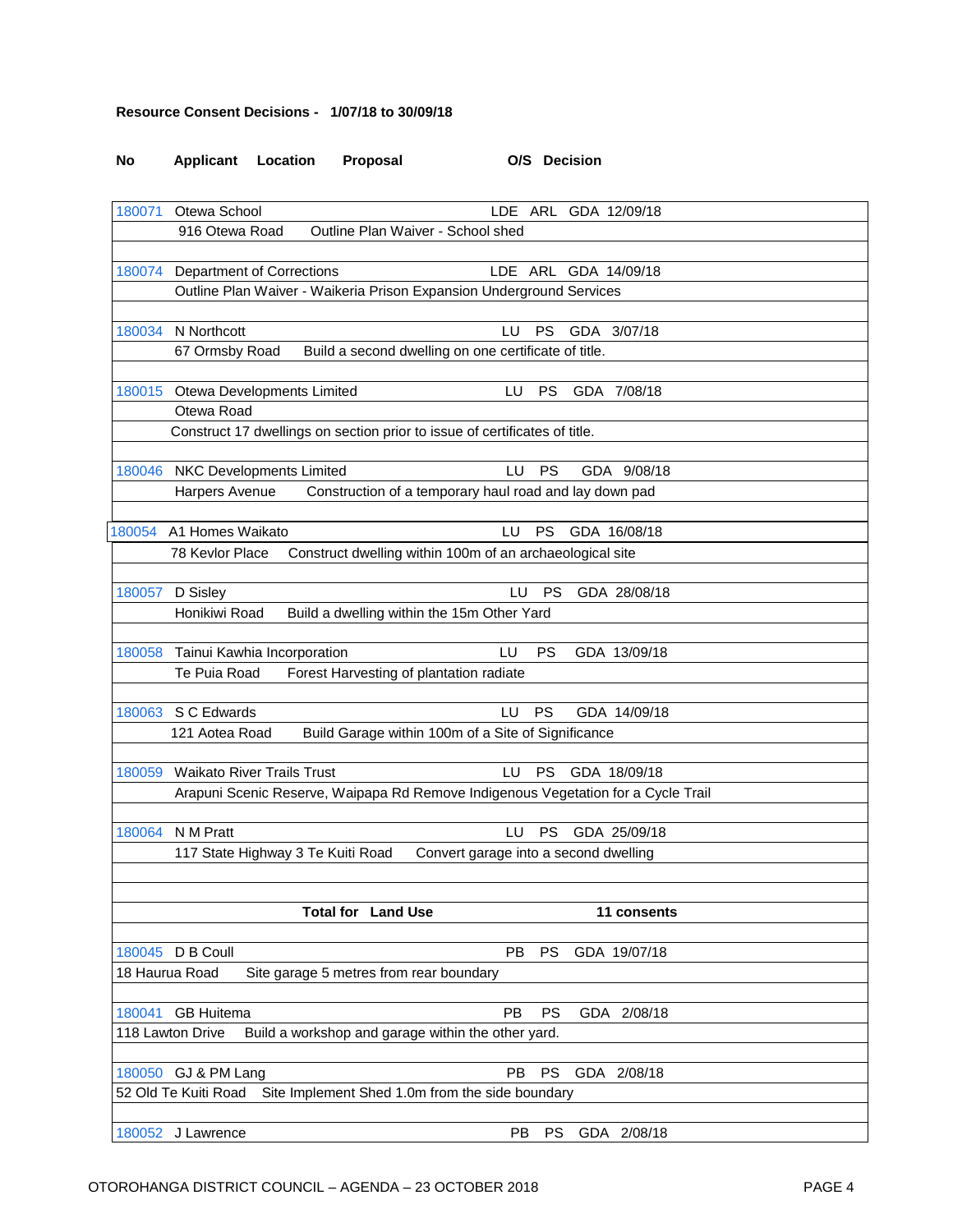#### **Resource Consent Decisions - 1/07/18 to 30/09/18**

## **No Applicant Location Proposal O/S Decision** [180071](http://ncs-unix.otodc.govt.nz/cgi-bin/rg6/rg6ep?180071) Otewa School LDE ARL GDA 12/09/18 916 Otewa Road Outline Plan Waiver - School shed [180074](http://ncs-unix.otodc.govt.nz/cgi-bin/rg6/rg6ep?180074) Department of Corrections LDE ARL GDA 14/09/18 Outline Plan Waiver - Waikeria Prison Expansion Underground Services [180034](http://ncs-unix.otodc.govt.nz/cgi-bin/rg6/rg6ep?180034) N Northcott **LU PS GDA 3/07/18** 67 Ormsby Road Build a second dwelling on one certificate of title. [180015](http://ncs-unix.otodc.govt.nz/cgi-bin/rg6/rg6ep?180015) Otewa Developments Limited LU PS GDA 7/08/18 Otewa Road Construct 17 dwellings on section prior to issue of certificates of title. [180046](http://ncs-unix.otodc.govt.nz/cgi-bin/rg6/rg6ep?180046) NKC Developments Limited LU PS GDA 9/08/18 Harpers Avenue Construction of a temporary haul road and lay down pad [180054](http://ncs-unix.otodc.govt.nz/cgi-bin/rg6/rg6ep?180054) A1 Homes Waikato LU PS GDA 16/08/18 78 Kevlor Place Construct dwelling within 100m of an archaeological site [180057](http://ncs-unix.otodc.govt.nz/cgi-bin/rg6/rg6ep?180057) D Sisley LU PS GDA 28/08/18 Honikiwi Road Build a dwelling within the 15m Other Yard [180058](http://ncs-unix.otodc.govt.nz/cgi-bin/rg6/rg6ep?180058) Tainui Kawhia Incorporation LU PS GDA 13/09/18 Te Puia Road Forest Harvesting of plantation radiate [180063](http://ncs-unix.otodc.govt.nz/cgi-bin/rg6/rg6ep?180063) S C Edwards LU PS GDA 14/09/18 121 Aotea Road Build Garage within 100m of a Site of Significance [180059](http://ncs-unix.otodc.govt.nz/cgi-bin/rg6/rg6ep?180059) Waikato River Trails Trust LU PS GDA 18/09/18 Arapuni Scenic Reserve, Waipapa Rd Remove Indigenous Vegetation for a Cycle Trail [180064](http://ncs-unix.otodc.govt.nz/cgi-bin/rg6/rg6ep?180064) N M Pratt LU PS GDA 25/09/18 117 State Highway 3 Te Kuiti Road Convert garage into a second dwelling **Total for Land Use 11 consents** [180045](http://ncs-unix.otodc.govt.nz/cgi-bin/rg6/rg6ep?180045) D B Coull PB PS GDA 19/07/18 18 Haurua Road Site garage 5 metres from rear boundary [180041](http://ncs-unix.otodc.govt.nz/cgi-bin/rg6/rg6ep?180041) GB Huitema PB PS GDA 2/08/18 118 Lawton Drive Build a workshop and garage within the other yard.

[180050](http://ncs-unix.otodc.govt.nz/cgi-bin/rg6/rg6ep?180050) GJ & PM Lang PB PS GDA 2/08/18 52 Old Te Kuiti Road Site Implement Shed 1.0m from the side boundary [180052](http://ncs-unix.otodc.govt.nz/cgi-bin/rg6/rg6ep?180052) J Lawrence PB PS GDA 2/08/18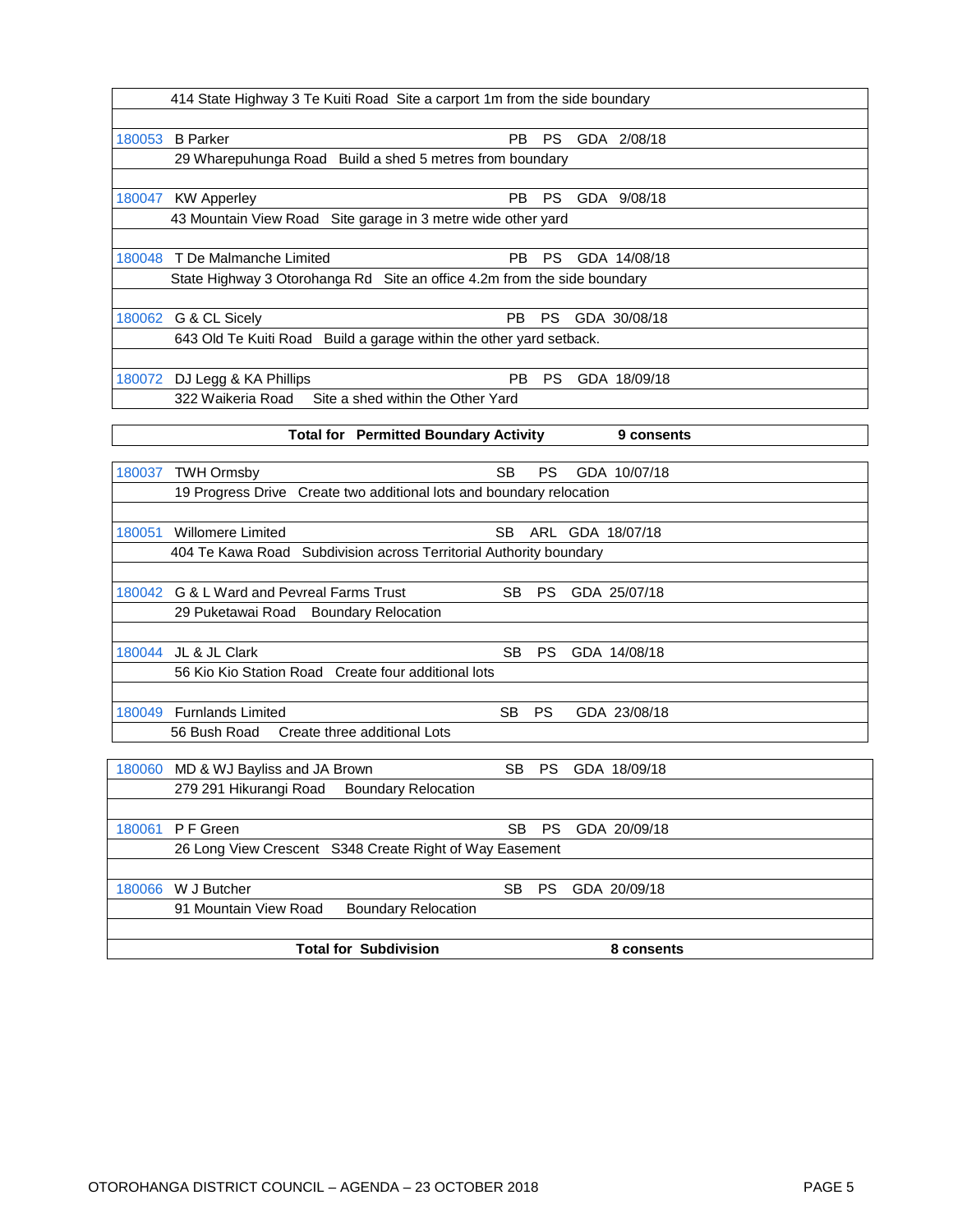|        | 414 State Highway 3 Te Kuiti Road Site a carport 1m from the side boundary |           |  |              |
|--------|----------------------------------------------------------------------------|-----------|--|--------------|
|        |                                                                            |           |  |              |
| 180053 | <b>B</b> Parker<br>PB.                                                     | PS.       |  | GDA 2/08/18  |
|        | 29 Wharepuhunga Road Build a shed 5 metres from boundary                   |           |  |              |
|        |                                                                            |           |  |              |
| 180047 | PB.<br><b>KW Apperley</b>                                                  | <b>PS</b> |  | GDA 9/08/18  |
|        | 43 Mountain View Road Site garage in 3 metre wide other yard               |           |  |              |
|        |                                                                            |           |  |              |
| 180048 | T De Malmanche Limited<br><b>PB</b>                                        | <b>PS</b> |  | GDA 14/08/18 |
|        | State Highway 3 Otorohanga Rd Site an office 4.2m from the side boundary   |           |  |              |
|        |                                                                            |           |  |              |
| 180062 | PB.<br>G & CL Sicely                                                       | <b>PS</b> |  | GDA 30/08/18 |
|        | 643 Old Te Kuiti Road Build a garage within the other yard setback.        |           |  |              |
|        |                                                                            |           |  |              |
| 180072 | PB.<br>DJ Legg & KA Phillips                                               | PS.       |  | GDA 18/09/18 |
|        | 322 Waikeria Road<br>Site a shed within the Other Yard                     |           |  |              |
|        |                                                                            |           |  |              |
|        | <b>Total for Permitted Boundary Activity</b>                               |           |  | 9 consents   |
|        |                                                                            |           |  |              |
| 180037 | <b>SB</b><br><b>TWH Ormsby</b>                                             | <b>PS</b> |  | GDA 10/07/18 |
|        | 19 Progress Drive Create two additional lots and boundary relocation       |           |  |              |

| 180051 | <b>Willomere Limited</b>                                           | SB. |           | ARL GDA 18/07/18 |
|--------|--------------------------------------------------------------------|-----|-----------|------------------|
|        | 404 Te Kawa Road Subdivision across Territorial Authority boundary |     |           |                  |
|        |                                                                    |     |           |                  |
| 180042 | G & L Ward and Pevreal Farms Trust                                 | SB. | <b>PS</b> | GDA 25/07/18     |
|        | 29 Puketawai Road Boundary Relocation                              |     |           |                  |
|        |                                                                    |     |           |                  |
| 180044 | JL & JL Clark                                                      | SB. | <b>PS</b> | GDA 14/08/18     |
|        | 56 Kio Kio Station Road Create four additional lots                |     |           |                  |
|        |                                                                    |     |           |                  |
| 180049 | <b>Furnlands Limited</b>                                           | SB. | <b>PS</b> | GDA 23/08/18     |
|        | 56 Bush Road<br>Create three additional Lots                       |     |           |                  |
|        |                                                                    |     |           |                  |
| 180060 | MD & WJ Bayliss and JA Brown                                       | SB. | PS.       | GDA 18/09/18     |
|        | <b>Boundary Relocation</b><br>279 291 Hikurangi Road               |     |           |                  |
|        |                                                                    |     |           |                  |
| 180061 | P F Green                                                          | SB  | <b>PS</b> | GDA 20/09/18     |
|        | 26 Long View Crescent S348 Create Right of Way Easement            |     |           |                  |
|        |                                                                    |     |           |                  |

[180066](http://ncs-unix.otodc.govt.nz/cgi-bin/rg6/rg6ep?180066) W J Butcher SB PS GDA 20/09/18 91 Mountain View Road Boundary Relocation **Total for Subdivision** 8 consents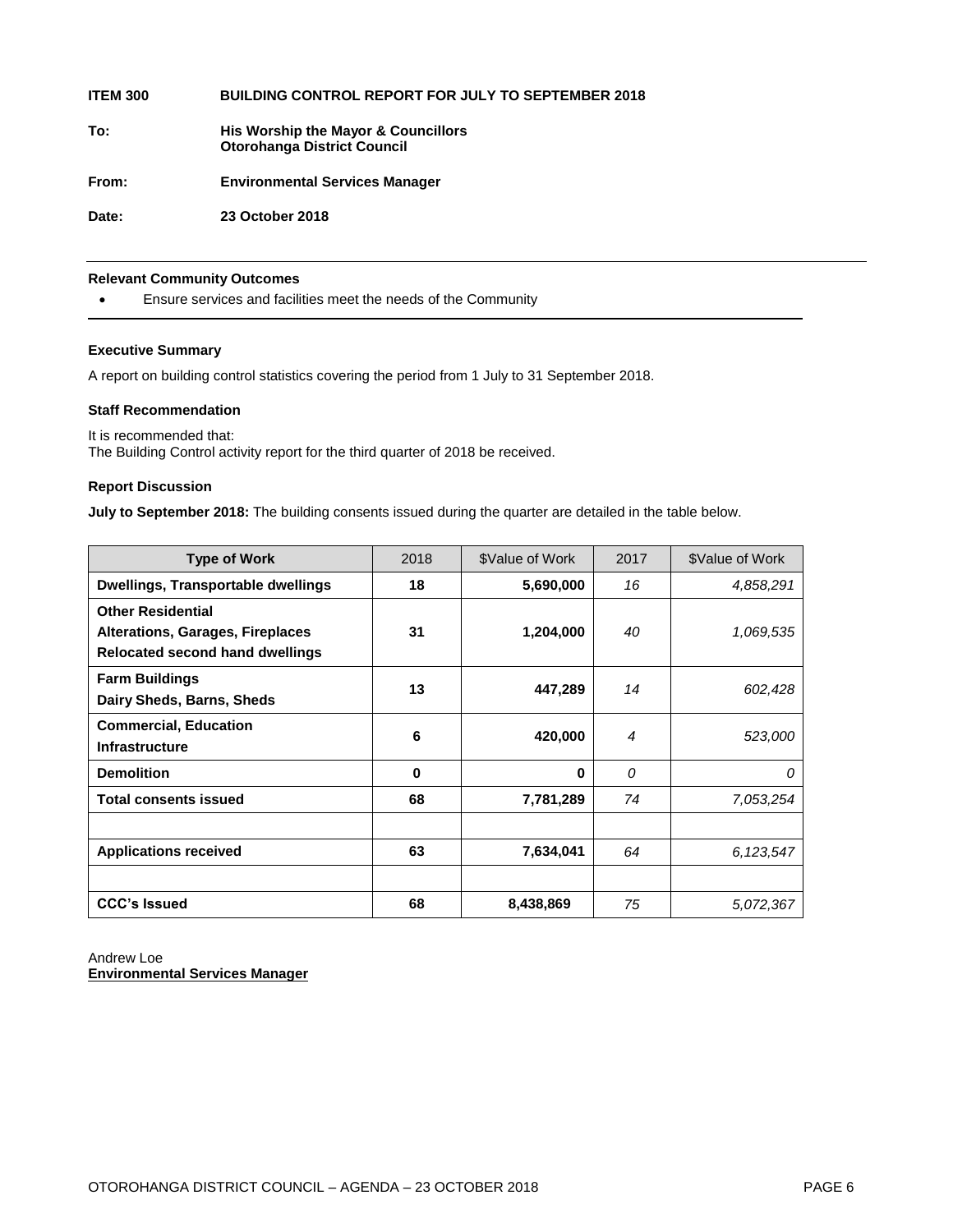| <b>ITEM 300</b> | <b>BUILDING CONTROL REPORT FOR JULY TO SEPTEMBER 2018</b>                 |
|-----------------|---------------------------------------------------------------------------|
| To:             | His Worship the Mayor & Councillors<br><b>Otorohanga District Council</b> |
| From:           | <b>Environmental Services Manager</b>                                     |
| Date:           | 23 October 2018                                                           |
|                 |                                                                           |

#### **Relevant Community Outcomes**

Ensure services and facilities meet the needs of the Community

#### **Executive Summary**

A report on building control statistics covering the period from 1 July to 31 September 2018.

#### **Staff Recommendation**

It is recommended that: The Building Control activity report for the third quarter of 2018 be received.

#### **Report Discussion**

**July to September 2018:** The building consents issued during the quarter are detailed in the table below.

| <b>Type of Work</b>                                                                                    | 2018 | \$Value of Work | 2017           | \$Value of Work |
|--------------------------------------------------------------------------------------------------------|------|-----------------|----------------|-----------------|
| <b>Dwellings, Transportable dwellings</b>                                                              | 18   | 5,690,000       | 16             | 4,858,291       |
| <b>Other Residential</b><br>Alterations, Garages, Fireplaces<br><b>Relocated second hand dwellings</b> | 31   | 1,204,000       | 40             | 1,069,535       |
| <b>Farm Buildings</b><br>Dairy Sheds, Barns, Sheds                                                     | 13   | 447,289         | 14             | 602,428         |
| <b>Commercial, Education</b><br><b>Infrastructure</b>                                                  | 6    | 420,000         | $\overline{4}$ | 523,000         |
| <b>Demolition</b>                                                                                      | 0    | 0               | 0              | 0               |
| <b>Total consents issued</b>                                                                           | 68   | 7,781,289       | 74             | 7,053,254       |
|                                                                                                        |      |                 |                |                 |
| <b>Applications received</b>                                                                           | 63   | 7,634,041       | 64             | 6,123,547       |
|                                                                                                        |      |                 |                |                 |
| <b>CCC's Issued</b>                                                                                    | 68   | 8,438,869       | 75             | 5,072,367       |

Andrew Loe **Environmental Services Manager**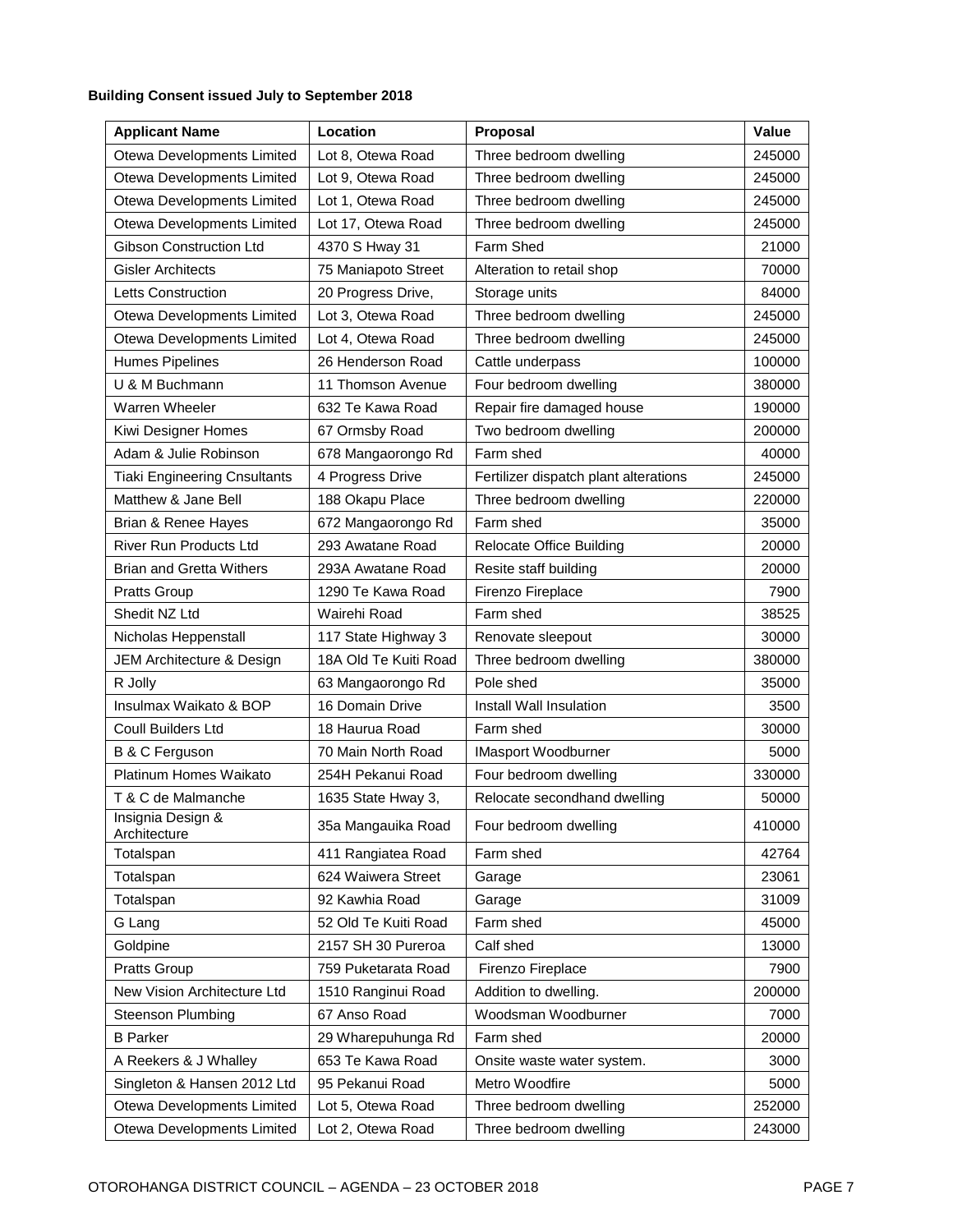#### **Building Consent issued July to September 2018**

| <b>Applicant Name</b>               | Location              | Proposal                              | <b>Value</b> |
|-------------------------------------|-----------------------|---------------------------------------|--------------|
| Otewa Developments Limited          | Lot 8, Otewa Road     | Three bedroom dwelling                | 245000       |
| Otewa Developments Limited          | Lot 9, Otewa Road     | Three bedroom dwelling                | 245000       |
| Otewa Developments Limited          | Lot 1, Otewa Road     | Three bedroom dwelling                | 245000       |
| Otewa Developments Limited          | Lot 17, Otewa Road    | Three bedroom dwelling                | 245000       |
| <b>Gibson Construction Ltd</b>      | 4370 S Hway 31        | Farm Shed                             | 21000        |
| <b>Gisler Architects</b>            | 75 Maniapoto Street   | Alteration to retail shop             | 70000        |
| Letts Construction                  | 20 Progress Drive,    | Storage units                         | 84000        |
| Otewa Developments Limited          | Lot 3, Otewa Road     | Three bedroom dwelling                | 245000       |
| Otewa Developments Limited          | Lot 4, Otewa Road     | Three bedroom dwelling                | 245000       |
| <b>Humes Pipelines</b>              | 26 Henderson Road     | Cattle underpass                      | 100000       |
| U & M Buchmann                      | 11 Thomson Avenue     | Four bedroom dwelling                 | 380000       |
| Warren Wheeler                      | 632 Te Kawa Road      | Repair fire damaged house             | 190000       |
| Kiwi Designer Homes                 | 67 Ormsby Road        | Two bedroom dwelling                  | 200000       |
| Adam & Julie Robinson               | 678 Mangaorongo Rd    | Farm shed                             | 40000        |
| <b>Tiaki Engineering Cnsultants</b> | 4 Progress Drive      | Fertilizer dispatch plant alterations | 245000       |
| Matthew & Jane Bell                 | 188 Okapu Place       | Three bedroom dwelling                | 220000       |
| Brian & Renee Hayes                 | 672 Mangaorongo Rd    | Farm shed                             | 35000        |
| <b>River Run Products Ltd</b>       | 293 Awatane Road      | <b>Relocate Office Building</b>       | 20000        |
| <b>Brian and Gretta Withers</b>     | 293A Awatane Road     | Resite staff building                 | 20000        |
| <b>Pratts Group</b>                 | 1290 Te Kawa Road     | Firenzo Fireplace                     | 7900         |
| Shedit NZ Ltd                       | Wairehi Road          | Farm shed                             | 38525        |
| Nicholas Heppenstall                | 117 State Highway 3   | Renovate sleepout                     | 30000        |
| JEM Architecture & Design           | 18A Old Te Kuiti Road | Three bedroom dwelling                | 380000       |
| R Jolly                             | 63 Mangaorongo Rd     | Pole shed                             | 35000        |
| Insulmax Waikato & BOP              | 16 Domain Drive       | Install Wall Insulation               | 3500         |
| <b>Coull Builders Ltd</b>           | 18 Haurua Road        | Farm shed                             | 30000        |
| B & C Ferguson                      | 70 Main North Road    | IMasport Woodburner                   | 5000         |
| Platinum Homes Waikato              | 254H Pekanui Road     | Four bedroom dwelling                 | 330000       |
| T & C de Malmanche                  | 1635 State Hway 3,    | Relocate secondhand dwelling          | 50000        |
| Insignia Design &<br>Architecture   | 35a Mangauika Road    | Four bedroom dwelling                 | 410000       |
| Totalspan                           | 411 Rangiatea Road    | Farm shed                             | 42764        |
| Totalspan                           | 624 Waiwera Street    | Garage                                | 23061        |
| Totalspan                           | 92 Kawhia Road        | Garage                                | 31009        |
| G Lang                              | 52 Old Te Kuiti Road  | Farm shed                             | 45000        |
| Goldpine                            | 2157 SH 30 Pureroa    | Calf shed                             | 13000        |
| <b>Pratts Group</b>                 | 759 Puketarata Road   | Firenzo Fireplace                     | 7900         |
| New Vision Architecture Ltd         | 1510 Ranginui Road    | Addition to dwelling.                 | 200000       |
| <b>Steenson Plumbing</b>            | 67 Anso Road          | Woodsman Woodburner                   | 7000         |
| <b>B</b> Parker                     | 29 Wharepuhunga Rd    | Farm shed                             | 20000        |
| A Reekers & J Whalley               | 653 Te Kawa Road      | Onsite waste water system.            | 3000         |
| Singleton & Hansen 2012 Ltd         | 95 Pekanui Road       | Metro Woodfire                        | 5000         |
| Otewa Developments Limited          | Lot 5, Otewa Road     | Three bedroom dwelling                | 252000       |
| Otewa Developments Limited          | Lot 2, Otewa Road     | Three bedroom dwelling                | 243000       |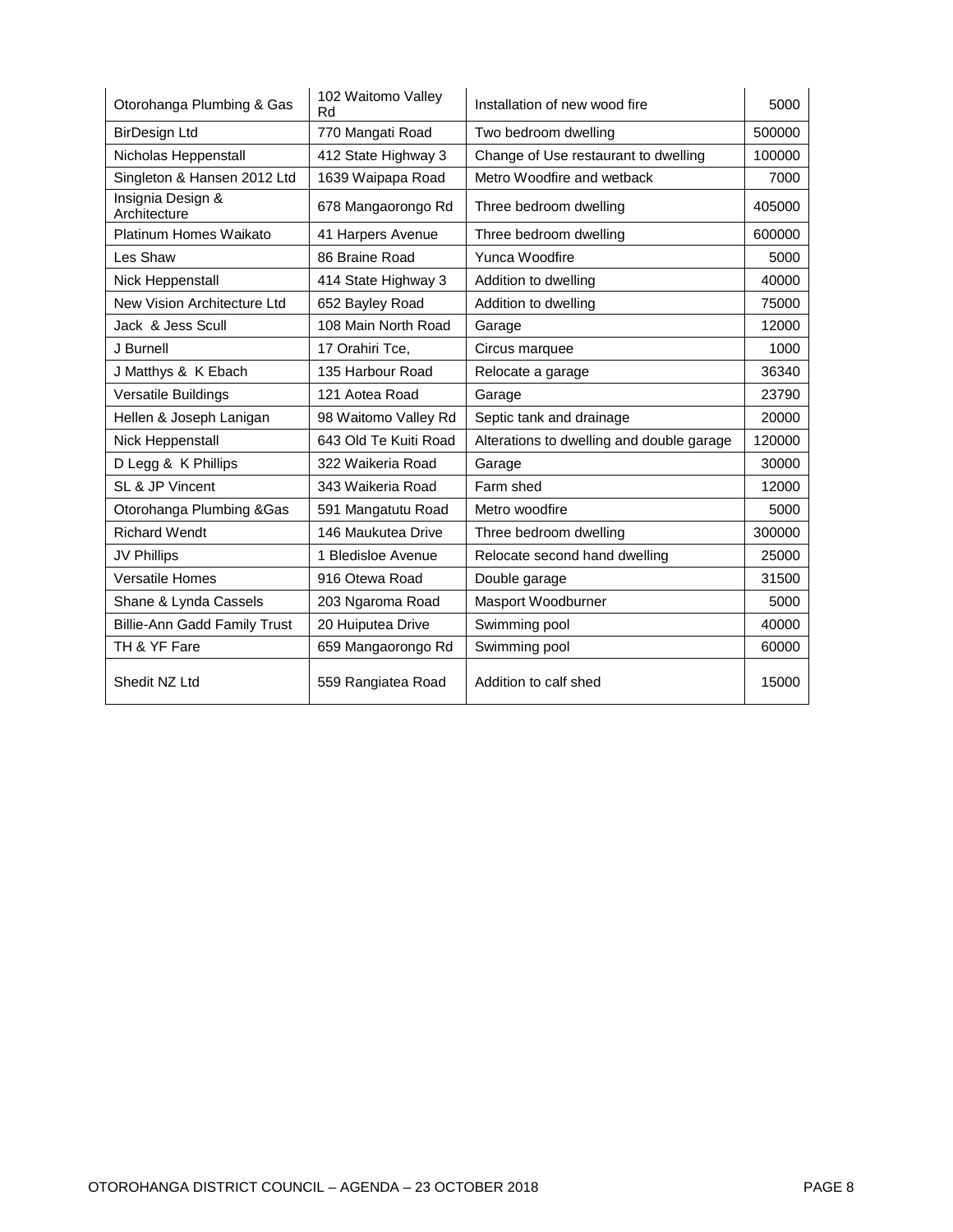| Otorohanga Plumbing & Gas           | 102 Waitomo Valley<br>Rd | Installation of new wood fire             | 5000   |
|-------------------------------------|--------------------------|-------------------------------------------|--------|
| <b>BirDesign Ltd</b>                | 770 Mangati Road         | Two bedroom dwelling                      | 500000 |
| Nicholas Heppenstall                | 412 State Highway 3      | Change of Use restaurant to dwelling      | 100000 |
| Singleton & Hansen 2012 Ltd         | 1639 Waipapa Road        | Metro Woodfire and wetback                | 7000   |
| Insignia Design &<br>Architecture   | 678 Mangaorongo Rd       | Three bedroom dwelling                    | 405000 |
| Platinum Homes Waikato              | 41 Harpers Avenue        | Three bedroom dwelling                    | 600000 |
| Les Shaw                            | 86 Braine Road           | Yunca Woodfire                            | 5000   |
| Nick Heppenstall                    | 414 State Highway 3      | Addition to dwelling                      | 40000  |
| New Vision Architecture Ltd         | 652 Bayley Road          | Addition to dwelling                      | 75000  |
| Jack & Jess Scull                   | 108 Main North Road      | Garage                                    | 12000  |
| J Burnell                           | 17 Orahiri Tce,          | Circus marquee                            | 1000   |
| J Matthys & K Ebach                 | 135 Harbour Road         | Relocate a garage                         | 36340  |
| <b>Versatile Buildings</b>          | 121 Aotea Road           | Garage                                    | 23790  |
| Hellen & Joseph Lanigan             | 98 Waitomo Valley Rd     | Septic tank and drainage                  | 20000  |
| Nick Heppenstall                    | 643 Old Te Kuiti Road    | Alterations to dwelling and double garage | 120000 |
| D Legg & K Phillips                 | 322 Waikeria Road        | Garage                                    | 30000  |
| SL & JP Vincent                     | 343 Waikeria Road        | Farm shed                                 | 12000  |
| Otorohanga Plumbing & Gas           | 591 Mangatutu Road       | Metro woodfire                            | 5000   |
| <b>Richard Wendt</b>                | 146 Maukutea Drive       | Three bedroom dwelling                    | 300000 |
| <b>JV Phillips</b>                  | 1 Bledisloe Avenue       | Relocate second hand dwelling             | 25000  |
| <b>Versatile Homes</b>              | 916 Otewa Road           | Double garage                             | 31500  |
| Shane & Lynda Cassels               | 203 Ngaroma Road         | Masport Woodburner                        | 5000   |
| <b>Billie-Ann Gadd Family Trust</b> | 20 Huiputea Drive        | Swimming pool                             | 40000  |
| TH & YF Fare                        | 659 Mangaorongo Rd       | Swimming pool                             | 60000  |
| Shedit NZ Ltd                       | 559 Rangiatea Road       | Addition to calf shed                     | 15000  |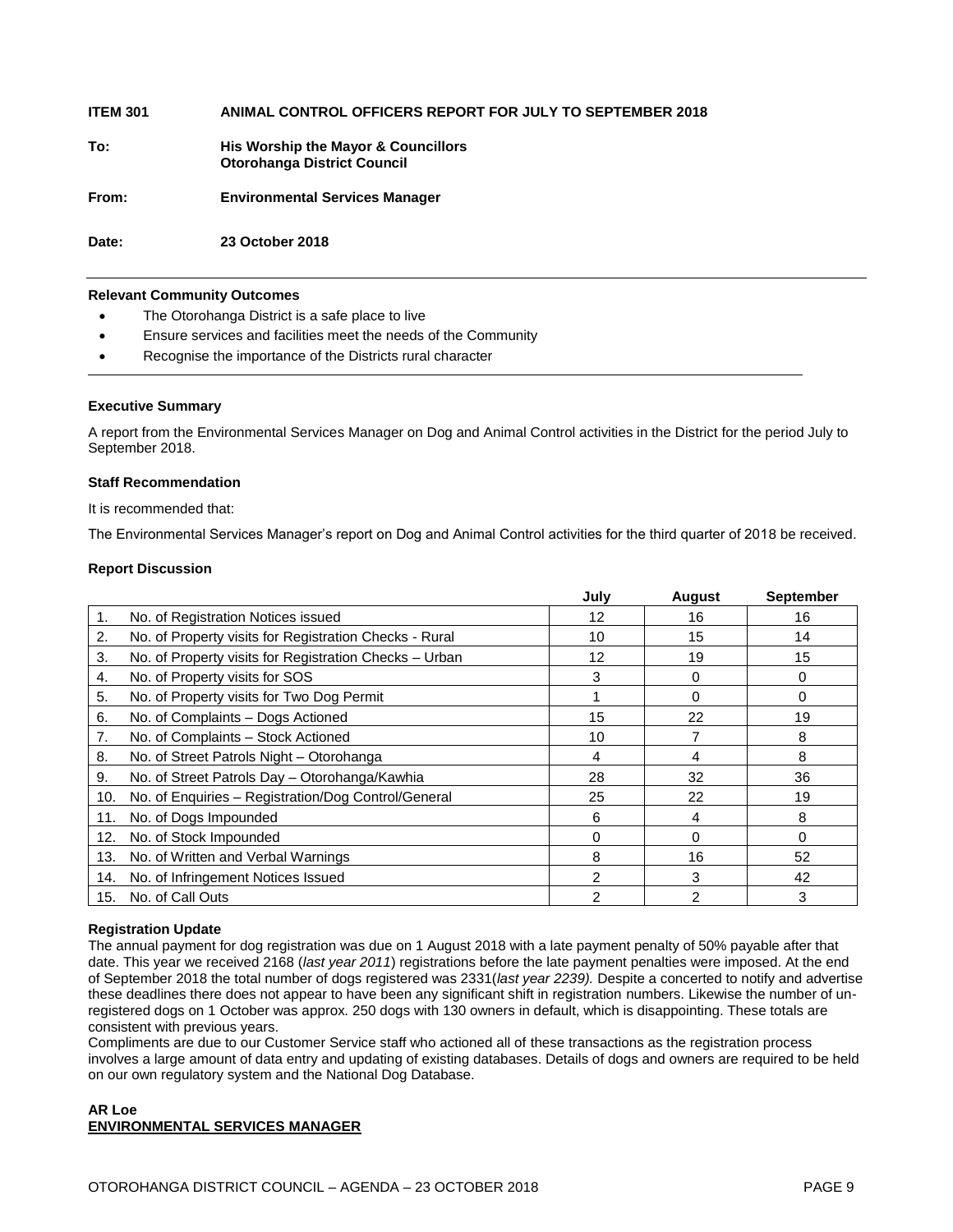## **ITEM 301 ANIMAL CONTROL OFFICERS REPORT FOR JULY TO SEPTEMBER 2018 To: His Worship the Mayor & Councillors Otorohanga District Council From: Environmental Services Manager**

**Date: 23 October 2018**

#### **Relevant Community Outcomes**

- The Otorohanga District is a safe place to live
- Ensure services and facilities meet the needs of the Community
- Recognise the importance of the Districts rural character

#### **Executive Summary**

A report from the Environmental Services Manager on Dog and Animal Control activities in the District for the period July to September 2018.

#### **Staff Recommendation**

It is recommended that:

The Environmental Services Manager's report on Dog and Animal Control activities for the third quarter of 2018 be received.

#### **Report Discussion**

|                |                                                        | July            | August        | <b>September</b> |
|----------------|--------------------------------------------------------|-----------------|---------------|------------------|
| $\mathbf{1}$ . | No. of Registration Notices issued                     | 12              | 16            | 16               |
| 2.             | No. of Property visits for Registration Checks - Rural | 10              | 15            | 14               |
| 3.             | No. of Property visits for Registration Checks - Urban | 12 <sup>2</sup> | 19            | 15               |
| 4.             | No. of Property visits for SOS                         | 3               | 0             | 0                |
| 5.             | No. of Property visits for Two Dog Permit              |                 | 0             | 0                |
| 6.             | No. of Complaints - Dogs Actioned                      | 15              | 22            | 19               |
| 7.             | No. of Complaints - Stock Actioned                     | 10              |               | 8                |
| 8.             | No. of Street Patrols Night - Otorohanga               | 4               | 4             | 8                |
| 9.             | No. of Street Patrols Day - Otorohanga/Kawhia          | 28              | 32            | 36               |
| 10.            | No. of Enquiries - Registration/Dog Control/General    | 25              | 22            | 19               |
| 11.            | No. of Dogs Impounded                                  | 6               | 4             | 8                |
| 12.            | No. of Stock Impounded                                 | 0               | $\Omega$      | $\Omega$         |
| 13.            | No. of Written and Verbal Warnings                     | 8               | 16            | 52               |
| 14.            | No. of Infringement Notices Issued                     | 2               | 3             | 42               |
| 15.            | No. of Call Outs                                       | 2               | $\mathcal{P}$ | 3                |

#### **Registration Update**

The annual payment for dog registration was due on 1 August 2018 with a late payment penalty of 50% payable after that date. This year we received 2168 (*last year 2011*) registrations before the late payment penalties were imposed. At the end of September 2018 the total number of dogs registered was 2331(*last year 2239).* Despite a concerted to notify and advertise these deadlines there does not appear to have been any significant shift in registration numbers. Likewise the number of unregistered dogs on 1 October was approx. 250 dogs with 130 owners in default, which is disappointing. These totals are consistent with previous years.

Compliments are due to our Customer Service staff who actioned all of these transactions as the registration process involves a large amount of data entry and updating of existing databases. Details of dogs and owners are required to be held on our own regulatory system and the National Dog Database.

#### **AR Loe ENVIRONMENTAL SERVICES MANAGER**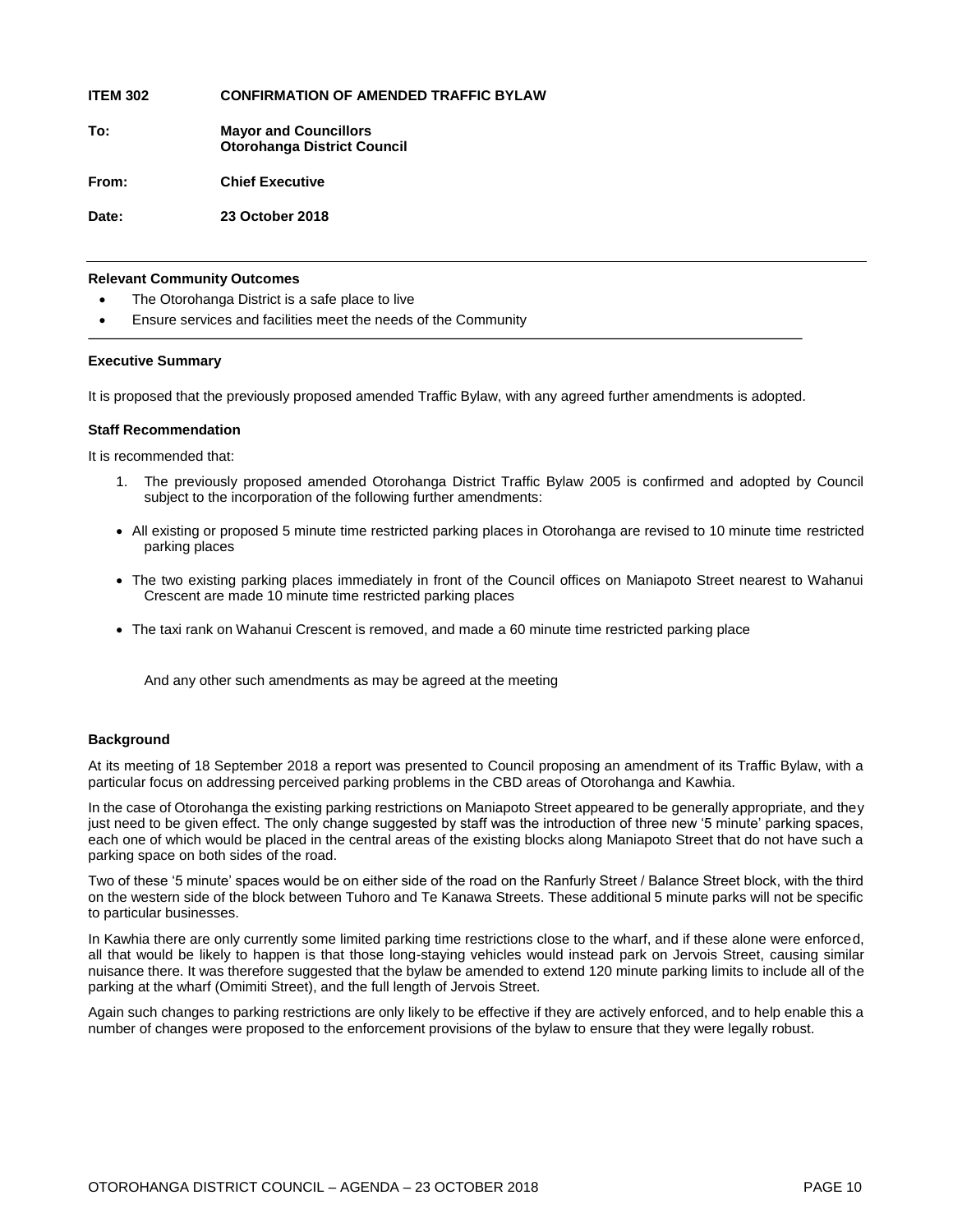**ITEM 302 CONFIRMATION OF AMENDED TRAFFIC BYLAW**

**To: Mayor and Councillors Otorohanga District Council**

**From: Chief Executive**

**Date: 23 October 2018**

#### **Relevant Community Outcomes**

- The Otorohanga District is a safe place to live
- Ensure services and facilities meet the needs of the Community

#### **Executive Summary**

It is proposed that the previously proposed amended Traffic Bylaw, with any agreed further amendments is adopted.

#### **Staff Recommendation**

It is recommended that:

- 1. The previously proposed amended Otorohanga District Traffic Bylaw 2005 is confirmed and adopted by Council subject to the incorporation of the following further amendments:
- All existing or proposed 5 minute time restricted parking places in Otorohanga are revised to 10 minute time restricted parking places
- The two existing parking places immediately in front of the Council offices on Maniapoto Street nearest to Wahanui Crescent are made 10 minute time restricted parking places
- The taxi rank on Wahanui Crescent is removed, and made a 60 minute time restricted parking place

And any other such amendments as may be agreed at the meeting

#### **Background**

At its meeting of 18 September 2018 a report was presented to Council proposing an amendment of its Traffic Bylaw, with a particular focus on addressing perceived parking problems in the CBD areas of Otorohanga and Kawhia.

In the case of Otorohanga the existing parking restrictions on Maniapoto Street appeared to be generally appropriate, and they just need to be given effect. The only change suggested by staff was the introduction of three new '5 minute' parking spaces, each one of which would be placed in the central areas of the existing blocks along Maniapoto Street that do not have such a parking space on both sides of the road.

Two of these '5 minute' spaces would be on either side of the road on the Ranfurly Street / Balance Street block, with the third on the western side of the block between Tuhoro and Te Kanawa Streets. These additional 5 minute parks will not be specific to particular businesses.

In Kawhia there are only currently some limited parking time restrictions close to the wharf, and if these alone were enforced, all that would be likely to happen is that those long-staying vehicles would instead park on Jervois Street, causing similar nuisance there. It was therefore suggested that the bylaw be amended to extend 120 minute parking limits to include all of the parking at the wharf (Omimiti Street), and the full length of Jervois Street.

Again such changes to parking restrictions are only likely to be effective if they are actively enforced, and to help enable this a number of changes were proposed to the enforcement provisions of the bylaw to ensure that they were legally robust.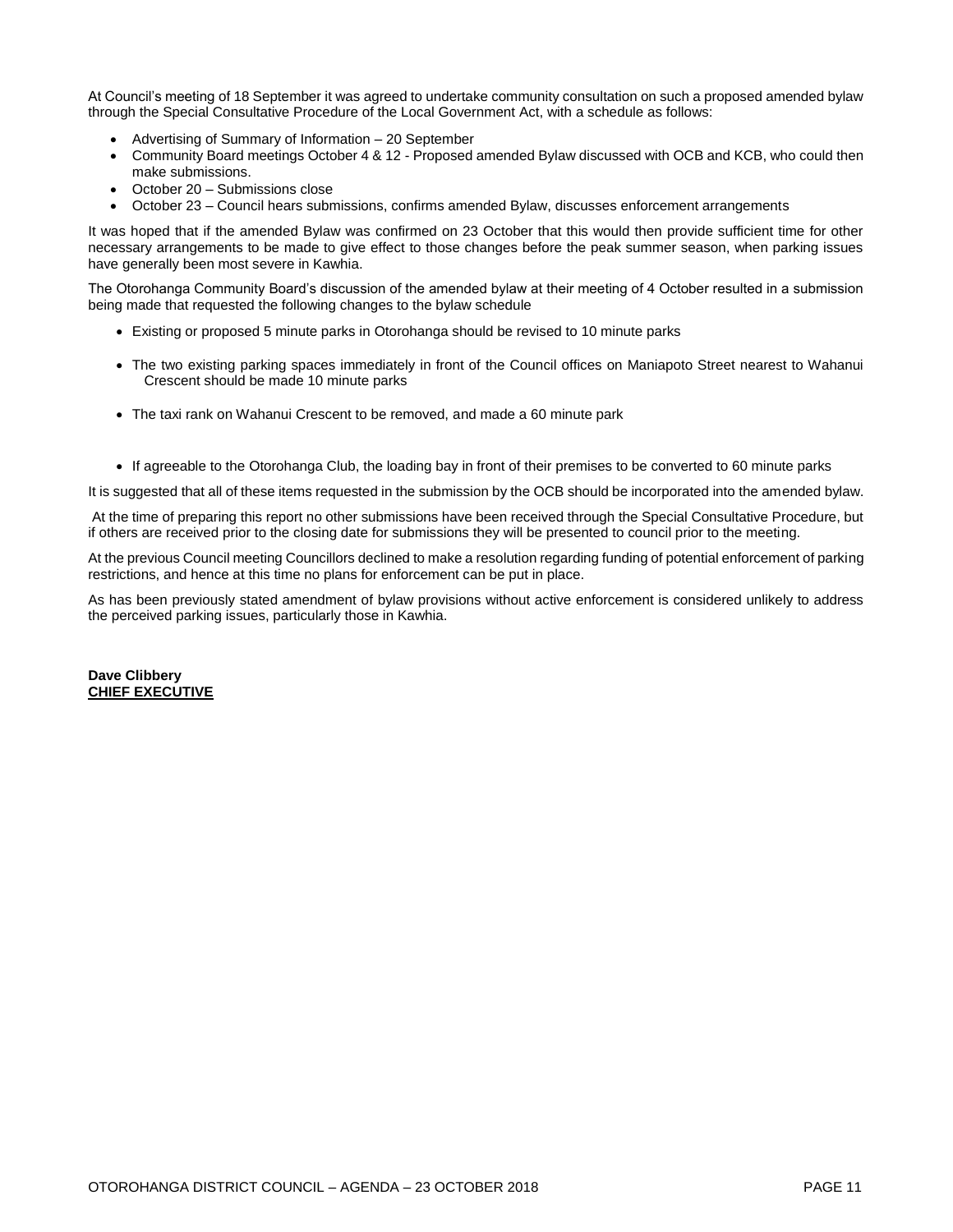At Council's meeting of 18 September it was agreed to undertake community consultation on such a proposed amended bylaw through the Special Consultative Procedure of the Local Government Act, with a schedule as follows:

- Advertising of Summary of Information 20 September
- Community Board meetings October 4 & 12 Proposed amended Bylaw discussed with OCB and KCB, who could then make submissions.
- October 20 Submissions close
- October 23 Council hears submissions, confirms amended Bylaw, discusses enforcement arrangements

It was hoped that if the amended Bylaw was confirmed on 23 October that this would then provide sufficient time for other necessary arrangements to be made to give effect to those changes before the peak summer season, when parking issues have generally been most severe in Kawhia.

The Otorohanga Community Board's discussion of the amended bylaw at their meeting of 4 October resulted in a submission being made that requested the following changes to the bylaw schedule

- Existing or proposed 5 minute parks in Otorohanga should be revised to 10 minute parks
- The two existing parking spaces immediately in front of the Council offices on Maniapoto Street nearest to Wahanui Crescent should be made 10 minute parks
- The taxi rank on Wahanui Crescent to be removed, and made a 60 minute park
- If agreeable to the Otorohanga Club, the loading bay in front of their premises to be converted to 60 minute parks

It is suggested that all of these items requested in the submission by the OCB should be incorporated into the amended bylaw.

At the time of preparing this report no other submissions have been received through the Special Consultative Procedure, but if others are received prior to the closing date for submissions they will be presented to council prior to the meeting.

At the previous Council meeting Councillors declined to make a resolution regarding funding of potential enforcement of parking restrictions, and hence at this time no plans for enforcement can be put in place.

As has been previously stated amendment of bylaw provisions without active enforcement is considered unlikely to address the perceived parking issues, particularly those in Kawhia.

**Dave Clibbery CHIEF EXECUTIVE**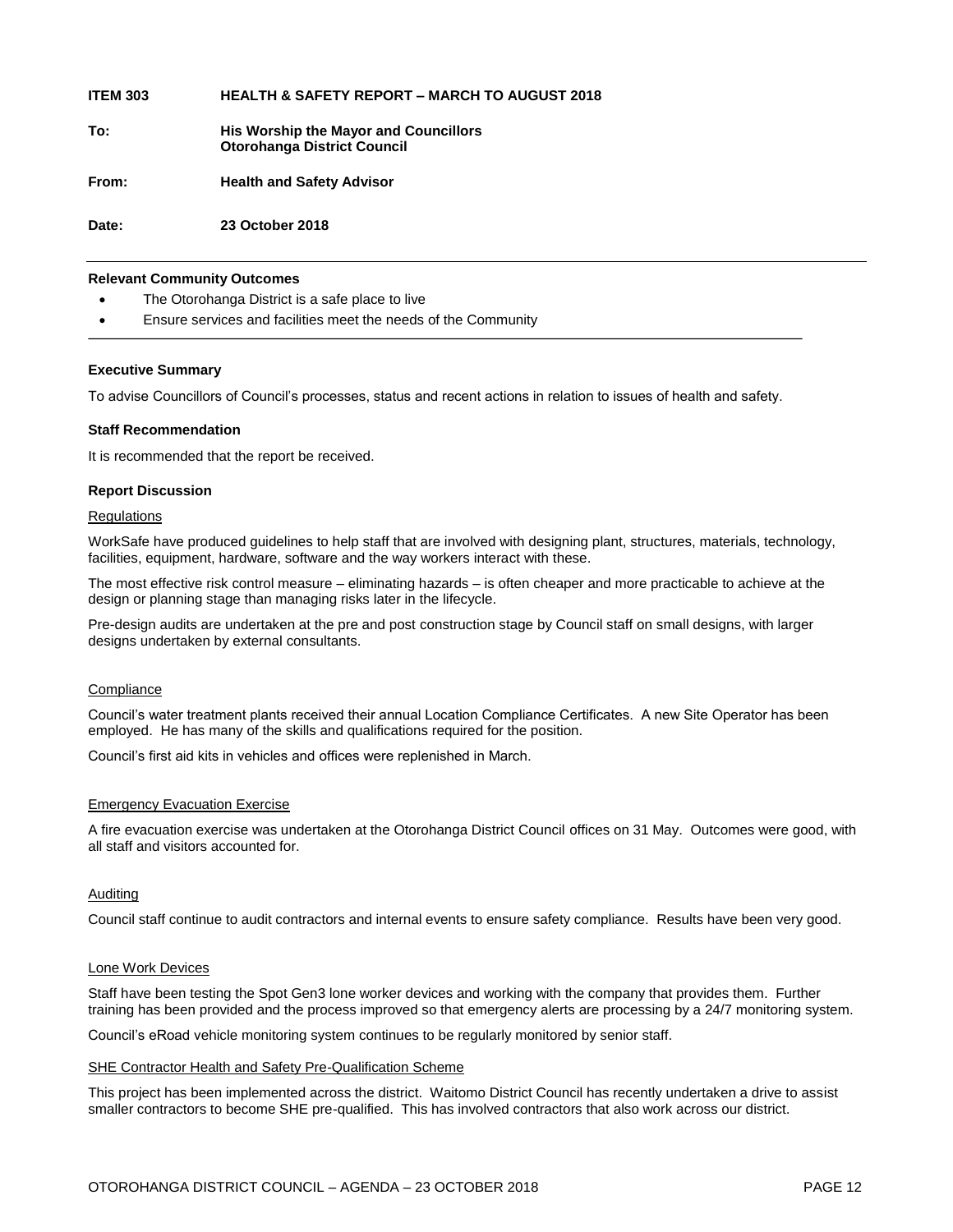| <b>ITEM 303</b> | <b>HEALTH &amp; SAFETY REPORT – MARCH TO AUGUST 2018</b> |
|-----------------|----------------------------------------------------------|
|                 |                                                          |

**To: His Worship the Mayor and Councillors Otorohanga District Council**

**From: Health and Safety Advisor**

**Date: 23 October 2018**

#### **Relevant Community Outcomes**

- The Otorohanga District is a safe place to live
- Ensure services and facilities meet the needs of the Community

#### **Executive Summary**

To advise Councillors of Council's processes, status and recent actions in relation to issues of health and safety.

#### **Staff Recommendation**

It is recommended that the report be received.

#### **Report Discussion**

#### **Regulations**

WorkSafe have produced guidelines to help staff that are involved with designing plant, structures, materials, technology, facilities, equipment, hardware, software and the way workers interact with these.

The most effective risk control measure – eliminating hazards – is often cheaper and more practicable to achieve at the design or planning stage than managing risks later in the lifecycle.

Pre-design audits are undertaken at the pre and post construction stage by Council staff on small designs, with larger designs undertaken by external consultants.

#### **Compliance**

Council's water treatment plants received their annual Location Compliance Certificates. A new Site Operator has been employed. He has many of the skills and qualifications required for the position.

Council's first aid kits in vehicles and offices were replenished in March.

#### Emergency Evacuation Exercise

A fire evacuation exercise was undertaken at the Otorohanga District Council offices on 31 May. Outcomes were good, with all staff and visitors accounted for.

#### Auditing

Council staff continue to audit contractors and internal events to ensure safety compliance. Results have been very good.

#### Lone Work Devices

Staff have been testing the Spot Gen3 lone worker devices and working with the company that provides them. Further training has been provided and the process improved so that emergency alerts are processing by a 24/7 monitoring system.

Council's eRoad vehicle monitoring system continues to be regularly monitored by senior staff.

#### SHE Contractor Health and Safety Pre-Qualification Scheme

This project has been implemented across the district. Waitomo District Council has recently undertaken a drive to assist smaller contractors to become SHE pre-qualified. This has involved contractors that also work across our district.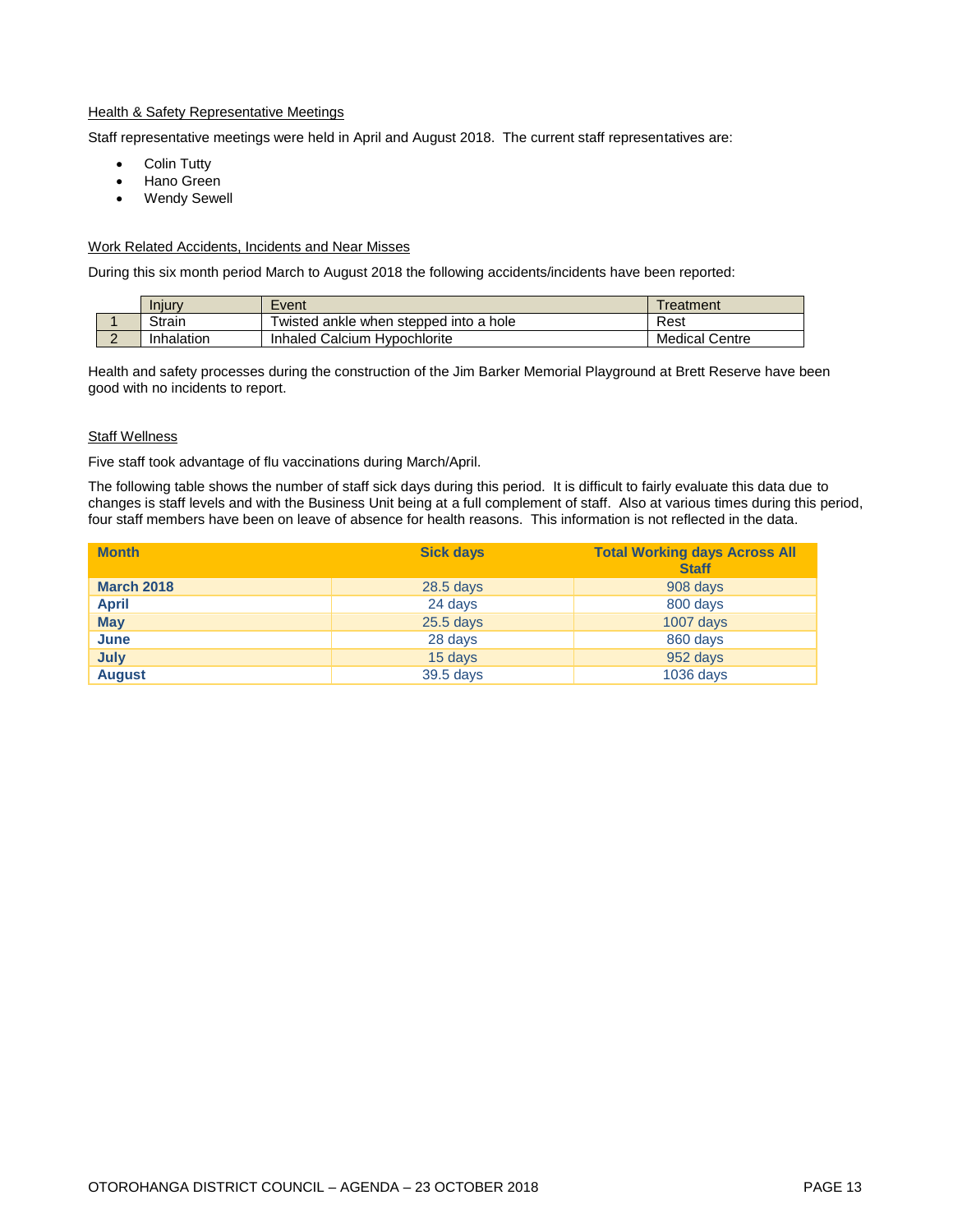#### **Health & Safety Representative Meetings**

Staff representative meetings were held in April and August 2018. The current staff representatives are:

- Colin Tutty
- Hano Green
- Wendy Sewell

#### Work Related Accidents, Incidents and Near Misses

During this six month period March to August 2018 the following accidents/incidents have been reported:

|          | Iniury     | Event                                  | Treatment         |
|----------|------------|----------------------------------------|-------------------|
|          | Strain     | Twisted ankle when stepped into a hole | Rest              |
| <u>_</u> | Inhalation | Inhaled Calcium Hypochlorite           | Medical<br>Centre |

Health and safety processes during the construction of the Jim Barker Memorial Playground at Brett Reserve have been good with no incidents to report.

#### **Staff Wellness**

Five staff took advantage of flu vaccinations during March/April.

The following table shows the number of staff sick days during this period. It is difficult to fairly evaluate this data due to changes is staff levels and with the Business Unit being at a full complement of staff. Also at various times during this period, four staff members have been on leave of absence for health reasons. This information is not reflected in the data.

| <b>Month</b>      | <b>Sick days</b> | <b>Total Working days Across All</b><br><b>Staff</b> |
|-------------------|------------------|------------------------------------------------------|
| <b>March 2018</b> | $28.5$ days      | 908 days                                             |
| <b>April</b>      | 24 days          | 800 days                                             |
| <b>May</b>        | $25.5$ days      | $1007$ days                                          |
| June              | 28 days          | 860 days                                             |
| July              | 15 days          | 952 days                                             |
| <b>August</b>     | 39.5 days        | $1036$ days                                          |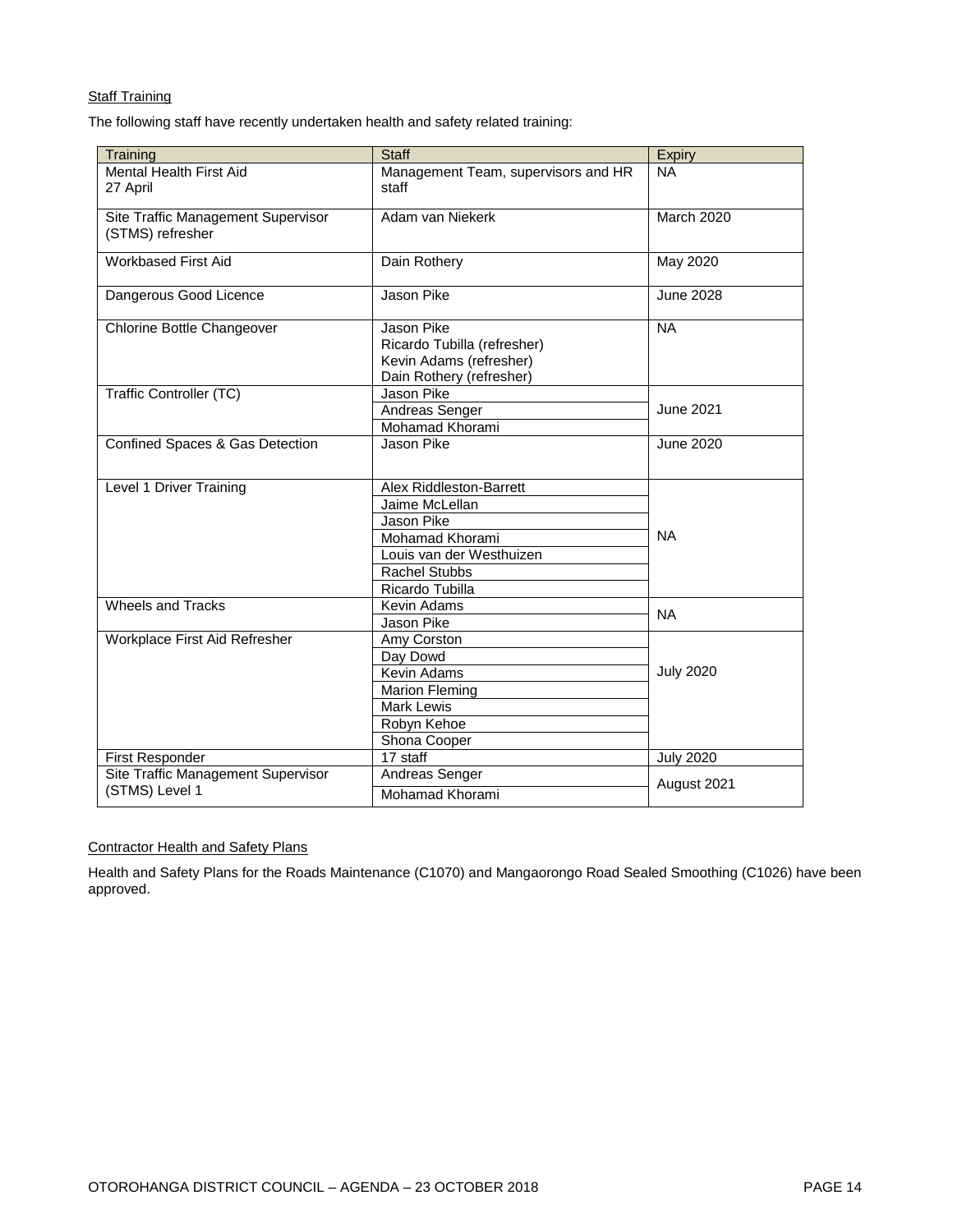#### **Staff Training**

The following staff have recently undertaken health and safety related training:

| Training                                               | <b>Staff</b>                                                                                                                                             | Expiry            |
|--------------------------------------------------------|----------------------------------------------------------------------------------------------------------------------------------------------------------|-------------------|
| <b>Mental Health First Aid</b><br>27 April             | Management Team, supervisors and HR<br>staff                                                                                                             | <b>NA</b>         |
| Site Traffic Management Supervisor<br>(STMS) refresher | Adam van Niekerk                                                                                                                                         | <b>March 2020</b> |
| <b>Workbased First Aid</b>                             | Dain Rothery                                                                                                                                             | May 2020          |
| Dangerous Good Licence                                 | Jason Pike                                                                                                                                               | June 2028         |
| Chlorine Bottle Changeover                             | Jason Pike<br>Ricardo Tubilla (refresher)<br>Kevin Adams (refresher)<br>Dain Rothery (refresher)                                                         | <b>NA</b>         |
| Traffic Controller (TC)                                | Jason Pike<br>Andreas Senger<br>Mohamad Khorami                                                                                                          | June 2021         |
| Confined Spaces & Gas Detection                        | Jason Pike                                                                                                                                               | June 2020         |
| Level 1 Driver Training                                | Alex Riddleston-Barrett<br>Jaime McLellan<br><b>Jason Pike</b><br>Mohamad Khorami<br>Louis van der Westhuizen<br><b>Rachel Stubbs</b><br>Ricardo Tubilla | <b>NA</b>         |
| <b>Wheels and Tracks</b>                               | Kevin Adams<br>Jason Pike                                                                                                                                | <b>NA</b>         |
| Workplace First Aid Refresher                          | Amy Corston<br>Day Dowd<br>Kevin Adams<br><b>Marion Fleming</b><br><b>Mark Lewis</b><br>Robyn Kehoe<br>Shona Cooper                                      | <b>July 2020</b>  |
| First Responder                                        | 17 staff                                                                                                                                                 | <b>July 2020</b>  |
| Site Traffic Management Supervisor<br>(STMS) Level 1   | Andreas Senger<br>Mohamad Khorami                                                                                                                        | August 2021       |

#### Contractor Health and Safety Plans

Health and Safety Plans for the Roads Maintenance (C1070) and Mangaorongo Road Sealed Smoothing (C1026) have been approved.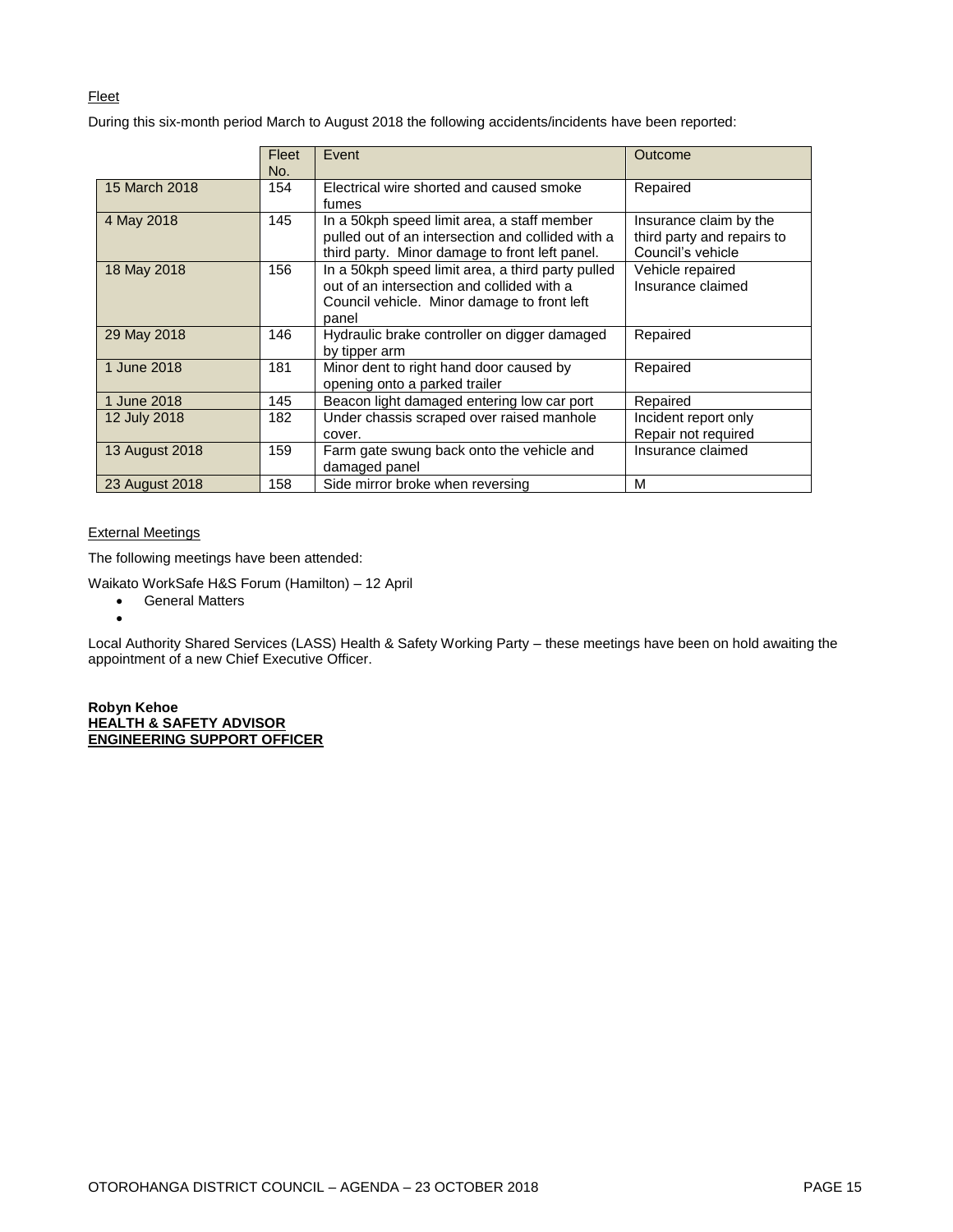#### Fleet

During this six-month period March to August 2018 the following accidents/incidents have been reported:

|                | Fleet<br>No. | Event                                                                                                                                                   | Outcome                                                                   |
|----------------|--------------|---------------------------------------------------------------------------------------------------------------------------------------------------------|---------------------------------------------------------------------------|
| 15 March 2018  | 154          | Electrical wire shorted and caused smoke<br>fumes                                                                                                       | Repaired                                                                  |
| 4 May 2018     | 145          | In a 50kph speed limit area, a staff member<br>pulled out of an intersection and collided with a<br>third party. Minor damage to front left panel.      | Insurance claim by the<br>third party and repairs to<br>Council's vehicle |
| 18 May 2018    | 156          | In a 50kph speed limit area, a third party pulled<br>out of an intersection and collided with a<br>Council vehicle. Minor damage to front left<br>panel | Vehicle repaired<br>Insurance claimed                                     |
| 29 May 2018    | 146          | Hydraulic brake controller on digger damaged<br>by tipper arm                                                                                           | Repaired                                                                  |
| 1 June 2018    | 181          | Minor dent to right hand door caused by<br>opening onto a parked trailer                                                                                | Repaired                                                                  |
| 1 June 2018    | 145          | Beacon light damaged entering low car port                                                                                                              | Repaired                                                                  |
| 12 July 2018   | 182          | Under chassis scraped over raised manhole<br>cover.                                                                                                     | Incident report only<br>Repair not required                               |
| 13 August 2018 | 159          | Farm gate swung back onto the vehicle and<br>damaged panel                                                                                              | Insurance claimed                                                         |
| 23 August 2018 | 158          | Side mirror broke when reversing                                                                                                                        | М                                                                         |

#### External Meetings

 $\bullet$ 

The following meetings have been attended:

Waikato WorkSafe H&S Forum (Hamilton) – 12 April

**•** General Matters

Local Authority Shared Services (LASS) Health & Safety Working Party – these meetings have been on hold awaiting the appointment of a new Chief Executive Officer.

**Robyn Kehoe HEALTH & SAFETY ADVISOR ENGINEERING SUPPORT OFFICER**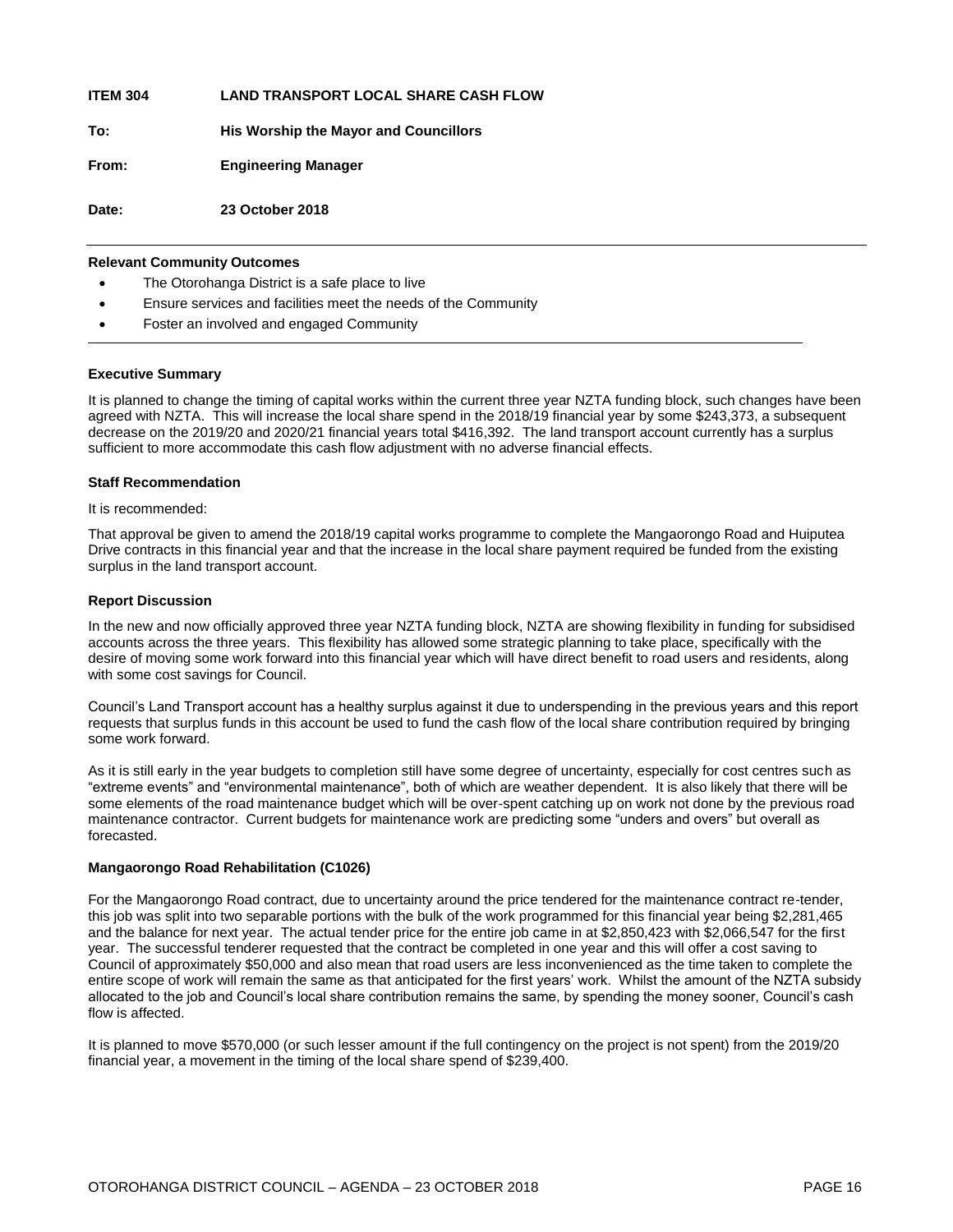**ITEM 304 LAND TRANSPORT LOCAL SHARE CASH FLOW**

**To: His Worship the Mayor and Councillors** 

**From: Engineering Manager**

**Date: 23 October 2018**

#### **Relevant Community Outcomes**

- The Otorohanga District is a safe place to live
- Ensure services and facilities meet the needs of the Community
- Foster an involved and engaged Community

#### **Executive Summary**

It is planned to change the timing of capital works within the current three year NZTA funding block, such changes have been agreed with NZTA. This will increase the local share spend in the 2018/19 financial year by some \$243,373, a subsequent decrease on the 2019/20 and 2020/21 financial years total \$416,392. The land transport account currently has a surplus sufficient to more accommodate this cash flow adjustment with no adverse financial effects.

#### **Staff Recommendation**

It is recommended:

That approval be given to amend the 2018/19 capital works programme to complete the Mangaorongo Road and Huiputea Drive contracts in this financial year and that the increase in the local share payment required be funded from the existing surplus in the land transport account.

#### **Report Discussion**

In the new and now officially approved three year NZTA funding block, NZTA are showing flexibility in funding for subsidised accounts across the three years. This flexibility has allowed some strategic planning to take place, specifically with the desire of moving some work forward into this financial year which will have direct benefit to road users and residents, along with some cost savings for Council.

Council's Land Transport account has a healthy surplus against it due to underspending in the previous years and this report requests that surplus funds in this account be used to fund the cash flow of the local share contribution required by bringing some work forward.

As it is still early in the year budgets to completion still have some degree of uncertainty, especially for cost centres such as "extreme events" and "environmental maintenance", both of which are weather dependent. It is also likely that there will be some elements of the road maintenance budget which will be over-spent catching up on work not done by the previous road maintenance contractor. Current budgets for maintenance work are predicting some "unders and overs" but overall as forecasted.

#### **Mangaorongo Road Rehabilitation (C1026)**

For the Mangaorongo Road contract, due to uncertainty around the price tendered for the maintenance contract re-tender, this job was split into two separable portions with the bulk of the work programmed for this financial year being \$2,281,465 and the balance for next year. The actual tender price for the entire job came in at \$2,850,423 with \$2,066,547 for the first year. The successful tenderer requested that the contract be completed in one year and this will offer a cost saving to Council of approximately \$50,000 and also mean that road users are less inconvenienced as the time taken to complete the entire scope of work will remain the same as that anticipated for the first years' work. Whilst the amount of the NZTA subsidy allocated to the job and Council's local share contribution remains the same, by spending the money sooner, Council's cash flow is affected.

It is planned to move \$570,000 (or such lesser amount if the full contingency on the project is not spent) from the 2019/20 financial year, a movement in the timing of the local share spend of \$239,400.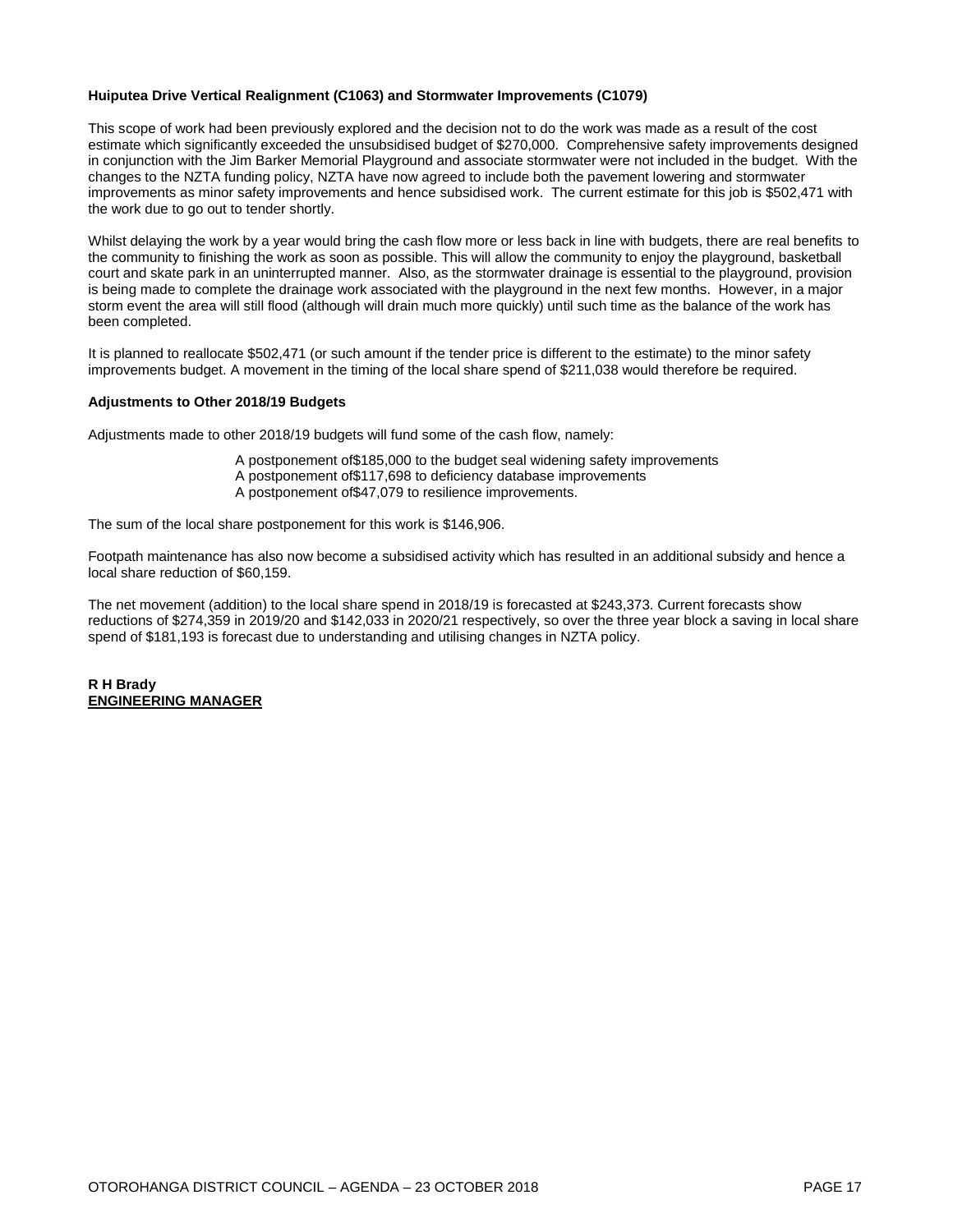#### **Huiputea Drive Vertical Realignment (C1063) and Stormwater Improvements (C1079)**

This scope of work had been previously explored and the decision not to do the work was made as a result of the cost estimate which significantly exceeded the unsubsidised budget of \$270,000. Comprehensive safety improvements designed in conjunction with the Jim Barker Memorial Playground and associate stormwater were not included in the budget. With the changes to the NZTA funding policy, NZTA have now agreed to include both the pavement lowering and stormwater improvements as minor safety improvements and hence subsidised work. The current estimate for this job is \$502,471 with the work due to go out to tender shortly.

Whilst delaying the work by a year would bring the cash flow more or less back in line with budgets, there are real benefits to the community to finishing the work as soon as possible. This will allow the community to enjoy the playground, basketball court and skate park in an uninterrupted manner. Also, as the stormwater drainage is essential to the playground, provision is being made to complete the drainage work associated with the playground in the next few months. However, in a major storm event the area will still flood (although will drain much more quickly) until such time as the balance of the work has been completed.

It is planned to reallocate \$502,471 (or such amount if the tender price is different to the estimate) to the minor safety improvements budget. A movement in the timing of the local share spend of \$211,038 would therefore be required.

#### **Adjustments to Other 2018/19 Budgets**

Adjustments made to other 2018/19 budgets will fund some of the cash flow, namely:

A postponement of\$185,000 to the budget seal widening safety improvements A postponement of\$117,698 to deficiency database improvements A postponement of\$47,079 to resilience improvements.

The sum of the local share postponement for this work is \$146,906.

Footpath maintenance has also now become a subsidised activity which has resulted in an additional subsidy and hence a local share reduction of \$60,159.

The net movement (addition) to the local share spend in 2018/19 is forecasted at \$243,373. Current forecasts show reductions of \$274,359 in 2019/20 and \$142,033 in 2020/21 respectively, so over the three year block a saving in local share spend of \$181,193 is forecast due to understanding and utilising changes in NZTA policy.

**R H Brady ENGINEERING MANAGER**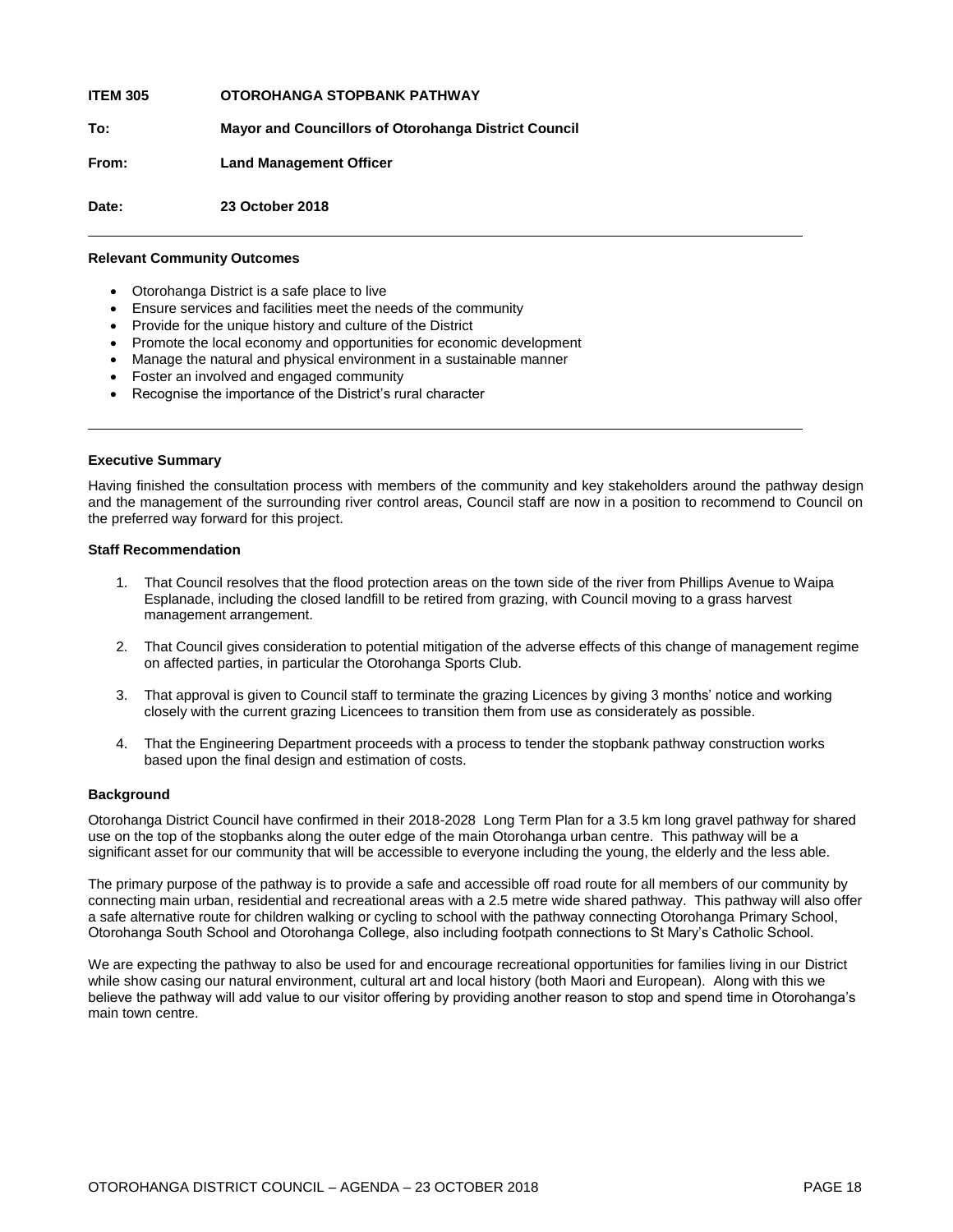**ITEM 305 OTOROHANGA STOPBANK PATHWAY**

**To: Mayor and Councillors of Otorohanga District Council**

**From: Land Management Officer**

**Date: 23 October 2018**

#### **Relevant Community Outcomes**

- Otorohanga District is a safe place to live
- Ensure services and facilities meet the needs of the community
- Provide for the unique history and culture of the District
- Promote the local economy and opportunities for economic development
- Manage the natural and physical environment in a sustainable manner
- Foster an involved and engaged community
- Recognise the importance of the District's rural character

#### **Executive Summary**

Having finished the consultation process with members of the community and key stakeholders around the pathway design and the management of the surrounding river control areas, Council staff are now in a position to recommend to Council on the preferred way forward for this project.

#### **Staff Recommendation**

- 1. That Council resolves that the flood protection areas on the town side of the river from Phillips Avenue to Waipa Esplanade, including the closed landfill to be retired from grazing, with Council moving to a grass harvest management arrangement.
- 2. That Council gives consideration to potential mitigation of the adverse effects of this change of management regime on affected parties, in particular the Otorohanga Sports Club.
- 3. That approval is given to Council staff to terminate the grazing Licences by giving 3 months' notice and working closely with the current grazing Licencees to transition them from use as considerately as possible.
- 4. That the Engineering Department proceeds with a process to tender the stopbank pathway construction works based upon the final design and estimation of costs.

#### **Background**

Otorohanga District Council have confirmed in their 2018-2028 Long Term Plan for a 3.5 km long gravel pathway for shared use on the top of the stopbanks along the outer edge of the main Otorohanga urban centre. This pathway will be a significant asset for our community that will be accessible to everyone including the young, the elderly and the less able.

The primary purpose of the pathway is to provide a safe and accessible off road route for all members of our community by connecting main urban, residential and recreational areas with a 2.5 metre wide shared pathway. This pathway will also offer a safe alternative route for children walking or cycling to school with the pathway connecting Otorohanga Primary School, Otorohanga South School and Otorohanga College, also including footpath connections to St Mary's Catholic School.

We are expecting the pathway to also be used for and encourage recreational opportunities for families living in our District while show casing our natural environment, cultural art and local history (both Maori and European). Along with this we believe the pathway will add value to our visitor offering by providing another reason to stop and spend time in Otorohanga's main town centre.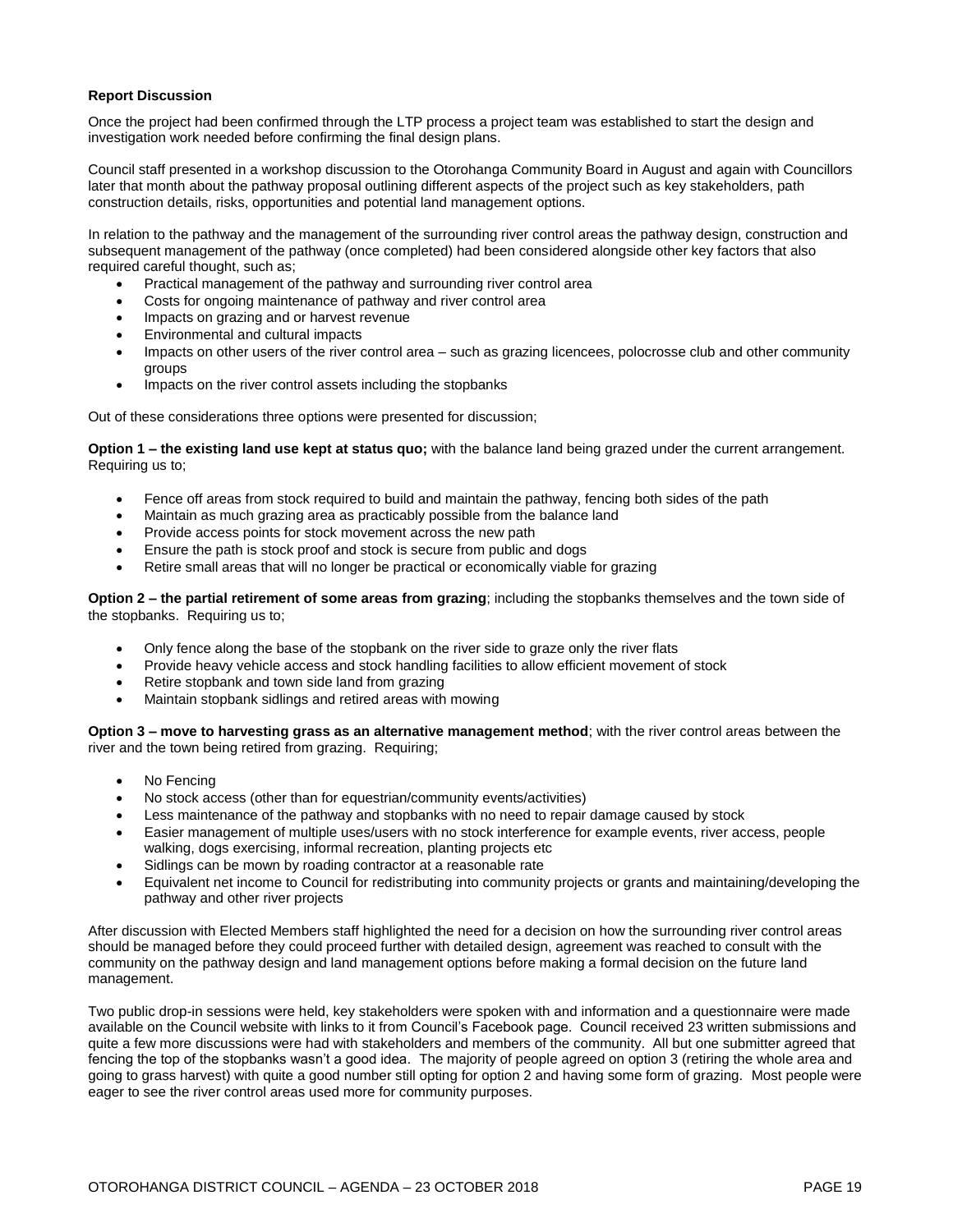#### **Report Discussion**

Once the project had been confirmed through the LTP process a project team was established to start the design and investigation work needed before confirming the final design plans.

Council staff presented in a workshop discussion to the Otorohanga Community Board in August and again with Councillors later that month about the pathway proposal outlining different aspects of the project such as key stakeholders, path construction details, risks, opportunities and potential land management options.

In relation to the pathway and the management of the surrounding river control areas the pathway design, construction and subsequent management of the pathway (once completed) had been considered alongside other key factors that also required careful thought, such as;

- Practical management of the pathway and surrounding river control area
- Costs for ongoing maintenance of pathway and river control area
- Impacts on grazing and or harvest revenue
- Environmental and cultural impacts
- Impacts on other users of the river control area such as grazing licencees, polocrosse club and other community groups
- Impacts on the river control assets including the stopbanks

Out of these considerations three options were presented for discussion;

**Option 1 – the existing land use kept at status quo;** with the balance land being grazed under the current arrangement. Requiring us to;

- Fence off areas from stock required to build and maintain the pathway, fencing both sides of the path
- Maintain as much grazing area as practicably possible from the balance land
- Provide access points for stock movement across the new path
- Ensure the path is stock proof and stock is secure from public and dogs
- Retire small areas that will no longer be practical or economically viable for grazing

**Option 2 – the partial retirement of some areas from grazing**; including the stopbanks themselves and the town side of the stopbanks. Requiring us to;

- Only fence along the base of the stopbank on the river side to graze only the river flats
- Provide heavy vehicle access and stock handling facilities to allow efficient movement of stock
- Retire stopbank and town side land from grazing
- Maintain stopbank sidlings and retired areas with mowing

**Option 3 – move to harvesting grass as an alternative management method**; with the river control areas between the river and the town being retired from grazing. Requiring;

- No Fencing
- No stock access (other than for equestrian/community events/activities)
- Less maintenance of the pathway and stopbanks with no need to repair damage caused by stock
- Easier management of multiple uses/users with no stock interference for example events, river access, people walking, dogs exercising, informal recreation, planting projects etc
- Sidlings can be mown by roading contractor at a reasonable rate
- Equivalent net income to Council for redistributing into community projects or grants and maintaining/developing the pathway and other river projects

After discussion with Elected Members staff highlighted the need for a decision on how the surrounding river control areas should be managed before they could proceed further with detailed design, agreement was reached to consult with the community on the pathway design and land management options before making a formal decision on the future land management.

Two public drop-in sessions were held, key stakeholders were spoken with and information and a questionnaire were made available on the Council website with links to it from Council's Facebook page. Council received 23 written submissions and quite a few more discussions were had with stakeholders and members of the community. All but one submitter agreed that fencing the top of the stopbanks wasn't a good idea. The majority of people agreed on option 3 (retiring the whole area and going to grass harvest) with quite a good number still opting for option 2 and having some form of grazing. Most people were eager to see the river control areas used more for community purposes.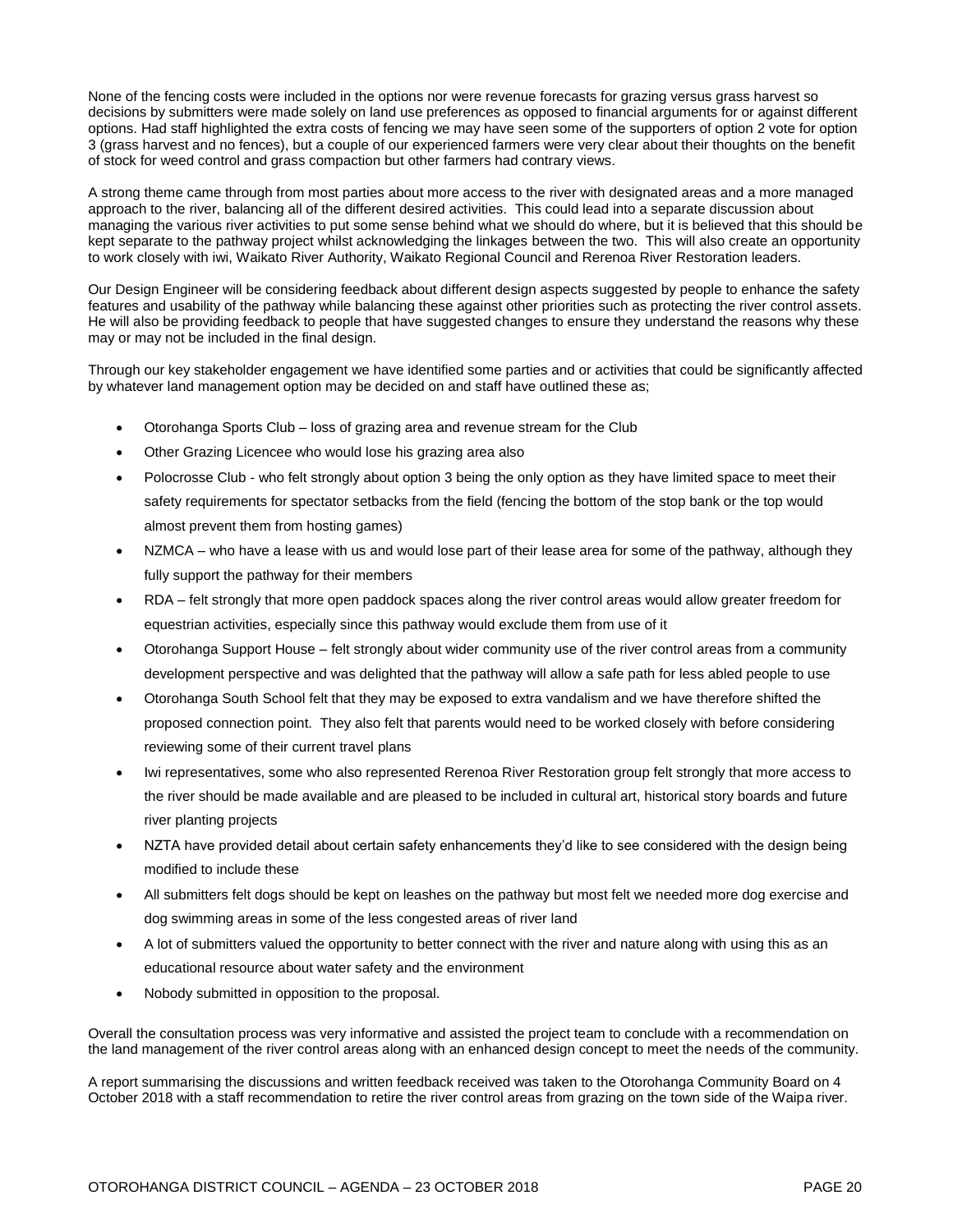None of the fencing costs were included in the options nor were revenue forecasts for grazing versus grass harvest so decisions by submitters were made solely on land use preferences as opposed to financial arguments for or against different options. Had staff highlighted the extra costs of fencing we may have seen some of the supporters of option 2 vote for option 3 (grass harvest and no fences), but a couple of our experienced farmers were very clear about their thoughts on the benefit of stock for weed control and grass compaction but other farmers had contrary views.

A strong theme came through from most parties about more access to the river with designated areas and a more managed approach to the river, balancing all of the different desired activities. This could lead into a separate discussion about managing the various river activities to put some sense behind what we should do where, but it is believed that this should be kept separate to the pathway project whilst acknowledging the linkages between the two. This will also create an opportunity to work closely with iwi, Waikato River Authority, Waikato Regional Council and Rerenoa River Restoration leaders.

Our Design Engineer will be considering feedback about different design aspects suggested by people to enhance the safety features and usability of the pathway while balancing these against other priorities such as protecting the river control assets. He will also be providing feedback to people that have suggested changes to ensure they understand the reasons why these may or may not be included in the final design.

Through our key stakeholder engagement we have identified some parties and or activities that could be significantly affected by whatever land management option may be decided on and staff have outlined these as;

- Otorohanga Sports Club loss of grazing area and revenue stream for the Club
- Other Grazing Licencee who would lose his grazing area also
- Polocrosse Club who felt strongly about option 3 being the only option as they have limited space to meet their safety requirements for spectator setbacks from the field (fencing the bottom of the stop bank or the top would almost prevent them from hosting games)
- NZMCA who have a lease with us and would lose part of their lease area for some of the pathway, although they fully support the pathway for their members
- RDA felt strongly that more open paddock spaces along the river control areas would allow greater freedom for equestrian activities, especially since this pathway would exclude them from use of it
- Otorohanga Support House felt strongly about wider community use of the river control areas from a community development perspective and was delighted that the pathway will allow a safe path for less abled people to use
- Otorohanga South School felt that they may be exposed to extra vandalism and we have therefore shifted the proposed connection point. They also felt that parents would need to be worked closely with before considering reviewing some of their current travel plans
- Iwi representatives, some who also represented Rerenoa River Restoration group felt strongly that more access to the river should be made available and are pleased to be included in cultural art, historical story boards and future river planting projects
- NZTA have provided detail about certain safety enhancements they'd like to see considered with the design being modified to include these
- All submitters felt dogs should be kept on leashes on the pathway but most felt we needed more dog exercise and dog swimming areas in some of the less congested areas of river land
- A lot of submitters valued the opportunity to better connect with the river and nature along with using this as an educational resource about water safety and the environment
- Nobody submitted in opposition to the proposal.

Overall the consultation process was very informative and assisted the project team to conclude with a recommendation on the land management of the river control areas along with an enhanced design concept to meet the needs of the community.

A report summarising the discussions and written feedback received was taken to the Otorohanga Community Board on 4 October 2018 with a staff recommendation to retire the river control areas from grazing on the town side of the Waipa river.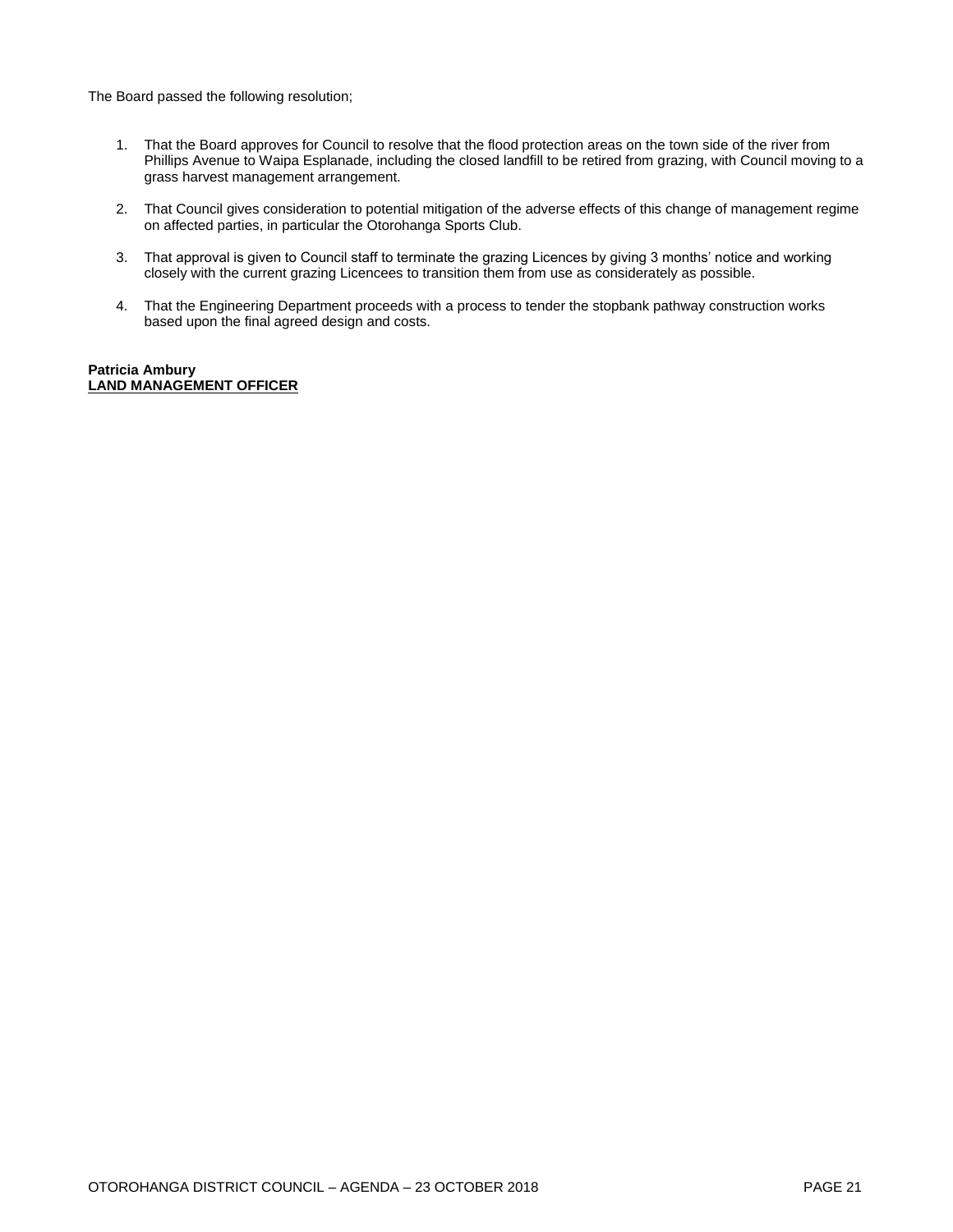The Board passed the following resolution;

- 1. That the Board approves for Council to resolve that the flood protection areas on the town side of the river from Phillips Avenue to Waipa Esplanade, including the closed landfill to be retired from grazing, with Council moving to a grass harvest management arrangement.
- 2. That Council gives consideration to potential mitigation of the adverse effects of this change of management regime on affected parties, in particular the Otorohanga Sports Club.
- 3. That approval is given to Council staff to terminate the grazing Licences by giving 3 months' notice and working closely with the current grazing Licencees to transition them from use as considerately as possible.
- 4. That the Engineering Department proceeds with a process to tender the stopbank pathway construction works based upon the final agreed design and costs.

#### **Patricia Ambury LAND MANAGEMENT OFFICER**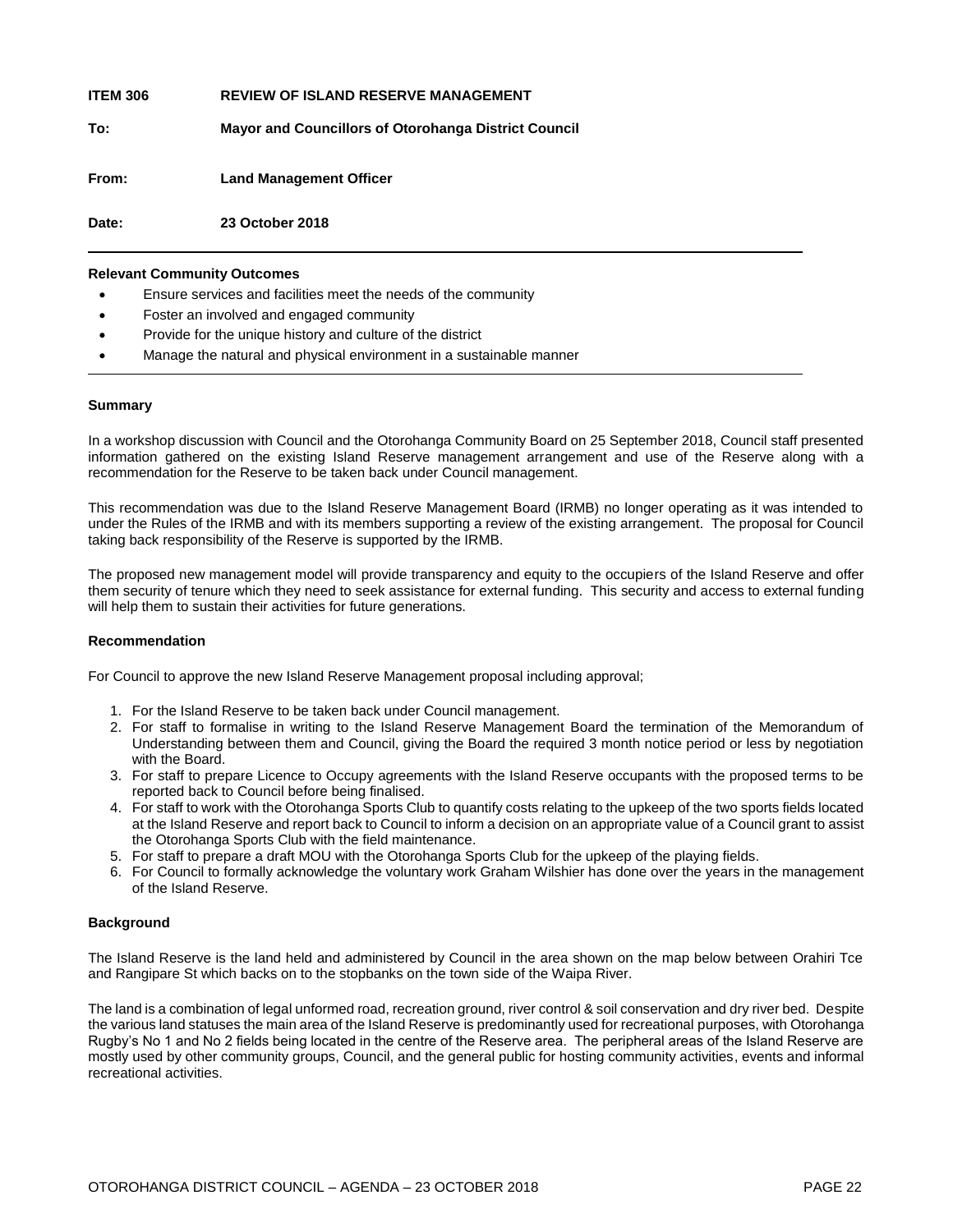| Date:           | 23 October 2018                                             |
|-----------------|-------------------------------------------------------------|
| From:           | <b>Land Management Officer</b>                              |
| To:             | <b>Mayor and Councillors of Otorohanga District Council</b> |
| <b>ITEM 306</b> | <b>REVIEW OF ISLAND RESERVE MANAGEMENT</b>                  |

#### **Relevant Community Outcomes**

- Ensure services and facilities meet the needs of the community
- Foster an involved and engaged community
- Provide for the unique history and culture of the district
- Manage the natural and physical environment in a sustainable manner

#### **Summary**

In a workshop discussion with Council and the Otorohanga Community Board on 25 September 2018, Council staff presented information gathered on the existing Island Reserve management arrangement and use of the Reserve along with a recommendation for the Reserve to be taken back under Council management.

This recommendation was due to the Island Reserve Management Board (IRMB) no longer operating as it was intended to under the Rules of the IRMB and with its members supporting a review of the existing arrangement. The proposal for Council taking back responsibility of the Reserve is supported by the IRMB.

The proposed new management model will provide transparency and equity to the occupiers of the Island Reserve and offer them security of tenure which they need to seek assistance for external funding. This security and access to external funding will help them to sustain their activities for future generations.

#### **Recommendation**

For Council to approve the new Island Reserve Management proposal including approval;

- 1. For the Island Reserve to be taken back under Council management.
- 2. For staff to formalise in writing to the Island Reserve Management Board the termination of the Memorandum of Understanding between them and Council, giving the Board the required 3 month notice period or less by negotiation with the Board.
- 3. For staff to prepare Licence to Occupy agreements with the Island Reserve occupants with the proposed terms to be reported back to Council before being finalised.
- 4. For staff to work with the Otorohanga Sports Club to quantify costs relating to the upkeep of the two sports fields located at the Island Reserve and report back to Council to inform a decision on an appropriate value of a Council grant to assist the Otorohanga Sports Club with the field maintenance.
- 5. For staff to prepare a draft MOU with the Otorohanga Sports Club for the upkeep of the playing fields.
- 6. For Council to formally acknowledge the voluntary work Graham Wilshier has done over the years in the management of the Island Reserve.

#### **Background**

The Island Reserve is the land held and administered by Council in the area shown on the map below between Orahiri Tce and Rangipare St which backs on to the stopbanks on the town side of the Waipa River.

The land is a combination of legal unformed road, recreation ground, river control & soil conservation and dry river bed. Despite the various land statuses the main area of the Island Reserve is predominantly used for recreational purposes, with Otorohanga Rugby's No 1 and No 2 fields being located in the centre of the Reserve area. The peripheral areas of the Island Reserve are mostly used by other community groups, Council, and the general public for hosting community activities, events and informal recreational activities.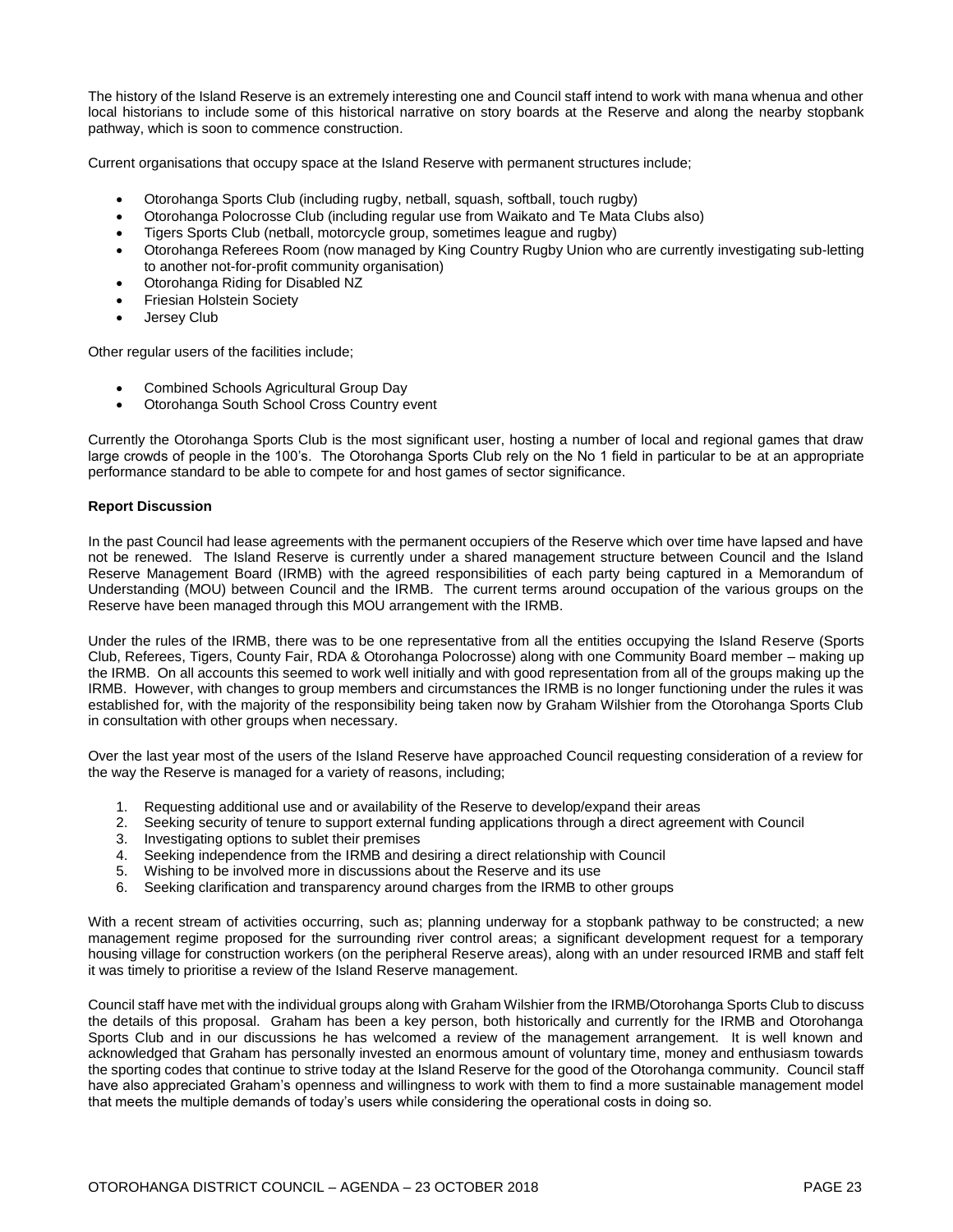The history of the Island Reserve is an extremely interesting one and Council staff intend to work with mana whenua and other local historians to include some of this historical narrative on story boards at the Reserve and along the nearby stopbank pathway, which is soon to commence construction.

Current organisations that occupy space at the Island Reserve with permanent structures include;

- Otorohanga Sports Club (including rugby, netball, squash, softball, touch rugby)
- Otorohanga Polocrosse Club (including regular use from Waikato and Te Mata Clubs also)
- Tigers Sports Club (netball, motorcycle group, sometimes league and rugby)
- Otorohanga Referees Room (now managed by King Country Rugby Union who are currently investigating sub-letting to another not-for-profit community organisation)
- Otorohanga Riding for Disabled NZ
- Friesian Holstein Society
- Jersey Club

Other regular users of the facilities include;

- Combined Schools Agricultural Group Day
- Otorohanga South School Cross Country event

Currently the Otorohanga Sports Club is the most significant user, hosting a number of local and regional games that draw large crowds of people in the 100's. The Otorohanga Sports Club rely on the No 1 field in particular to be at an appropriate performance standard to be able to compete for and host games of sector significance.

#### **Report Discussion**

In the past Council had lease agreements with the permanent occupiers of the Reserve which over time have lapsed and have not be renewed. The Island Reserve is currently under a shared management structure between Council and the Island Reserve Management Board (IRMB) with the agreed responsibilities of each party being captured in a Memorandum of Understanding (MOU) between Council and the IRMB. The current terms around occupation of the various groups on the Reserve have been managed through this MOU arrangement with the IRMB.

Under the rules of the IRMB, there was to be one representative from all the entities occupying the Island Reserve (Sports Club, Referees, Tigers, County Fair, RDA & Otorohanga Polocrosse) along with one Community Board member – making up the IRMB. On all accounts this seemed to work well initially and with good representation from all of the groups making up the IRMB. However, with changes to group members and circumstances the IRMB is no longer functioning under the rules it was established for, with the majority of the responsibility being taken now by Graham Wilshier from the Otorohanga Sports Club in consultation with other groups when necessary.

Over the last year most of the users of the Island Reserve have approached Council requesting consideration of a review for the way the Reserve is managed for a variety of reasons, including;

- 1. Requesting additional use and or availability of the Reserve to develop/expand their areas
- 2. Seeking security of tenure to support external funding applications through a direct agreement with Council
- 3. Investigating options to sublet their premises
- 4. Seeking independence from the IRMB and desiring a direct relationship with Council
- 5. Wishing to be involved more in discussions about the Reserve and its use
- 6. Seeking clarification and transparency around charges from the IRMB to other groups

With a recent stream of activities occurring, such as; planning underway for a stopbank pathway to be constructed; a new management regime proposed for the surrounding river control areas; a significant development request for a temporary housing village for construction workers (on the peripheral Reserve areas), along with an under resourced IRMB and staff felt it was timely to prioritise a review of the Island Reserve management.

Council staff have met with the individual groups along with Graham Wilshier from the IRMB/Otorohanga Sports Club to discuss the details of this proposal. Graham has been a key person, both historically and currently for the IRMB and Otorohanga Sports Club and in our discussions he has welcomed a review of the management arrangement. It is well known and acknowledged that Graham has personally invested an enormous amount of voluntary time, money and enthusiasm towards the sporting codes that continue to strive today at the Island Reserve for the good of the Otorohanga community. Council staff have also appreciated Graham's openness and willingness to work with them to find a more sustainable management model that meets the multiple demands of today's users while considering the operational costs in doing so.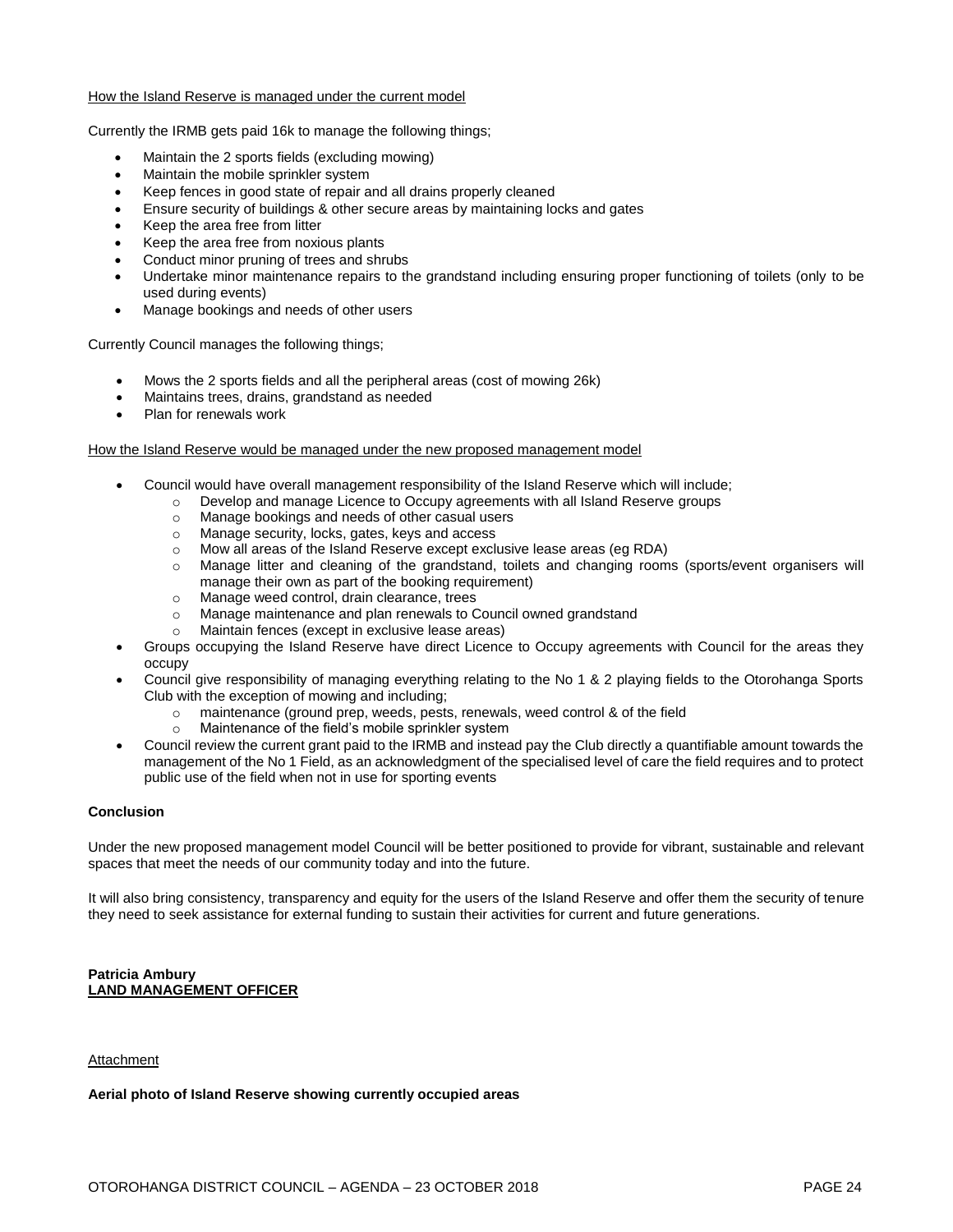#### How the Island Reserve is managed under the current model

Currently the IRMB gets paid 16k to manage the following things;

- Maintain the 2 sports fields (excluding mowing)
- Maintain the mobile sprinkler system
- Keep fences in good state of repair and all drains properly cleaned
- Ensure security of buildings & other secure areas by maintaining locks and gates
- Keep the area free from litter
- Keep the area free from noxious plants
- Conduct minor pruning of trees and shrubs
- Undertake minor maintenance repairs to the grandstand including ensuring proper functioning of toilets (only to be used during events)
- Manage bookings and needs of other users

Currently Council manages the following things;

- Mows the 2 sports fields and all the peripheral areas (cost of mowing 26k)
- Maintains trees, drains, grandstand as needed
- Plan for renewals work

#### How the Island Reserve would be managed under the new proposed management model

- Council would have overall management responsibility of the Island Reserve which will include;
	- o Develop and manage Licence to Occupy agreements with all Island Reserve groups
		- o Manage bookings and needs of other casual users
		- o Manage security, locks, gates, keys and access
		- o Mow all areas of the Island Reserve except exclusive lease areas (eg RDA)
		- o Manage litter and cleaning of the grandstand, toilets and changing rooms (sports/event organisers will manage their own as part of the booking requirement)
		- o Manage weed control, drain clearance, trees
		- o Manage maintenance and plan renewals to Council owned grandstand
		- Maintain fences (except in exclusive lease areas)
- Groups occupying the Island Reserve have direct Licence to Occupy agreements with Council for the areas they occupy
- Council give responsibility of managing everything relating to the No 1 & 2 playing fields to the Otorohanga Sports Club with the exception of mowing and including;
	- o maintenance (ground prep, weeds, pests, renewals, weed control & of the field
	- o Maintenance of the field's mobile sprinkler system
- Council review the current grant paid to the IRMB and instead pay the Club directly a quantifiable amount towards the management of the No 1 Field, as an acknowledgment of the specialised level of care the field requires and to protect public use of the field when not in use for sporting events

#### **Conclusion**

Under the new proposed management model Council will be better positioned to provide for vibrant, sustainable and relevant spaces that meet the needs of our community today and into the future.

It will also bring consistency, transparency and equity for the users of the Island Reserve and offer them the security of tenure they need to seek assistance for external funding to sustain their activities for current and future generations.

#### **Patricia Ambury LAND MANAGEMENT OFFICER**

#### Attachment

#### **Aerial photo of Island Reserve showing currently occupied areas**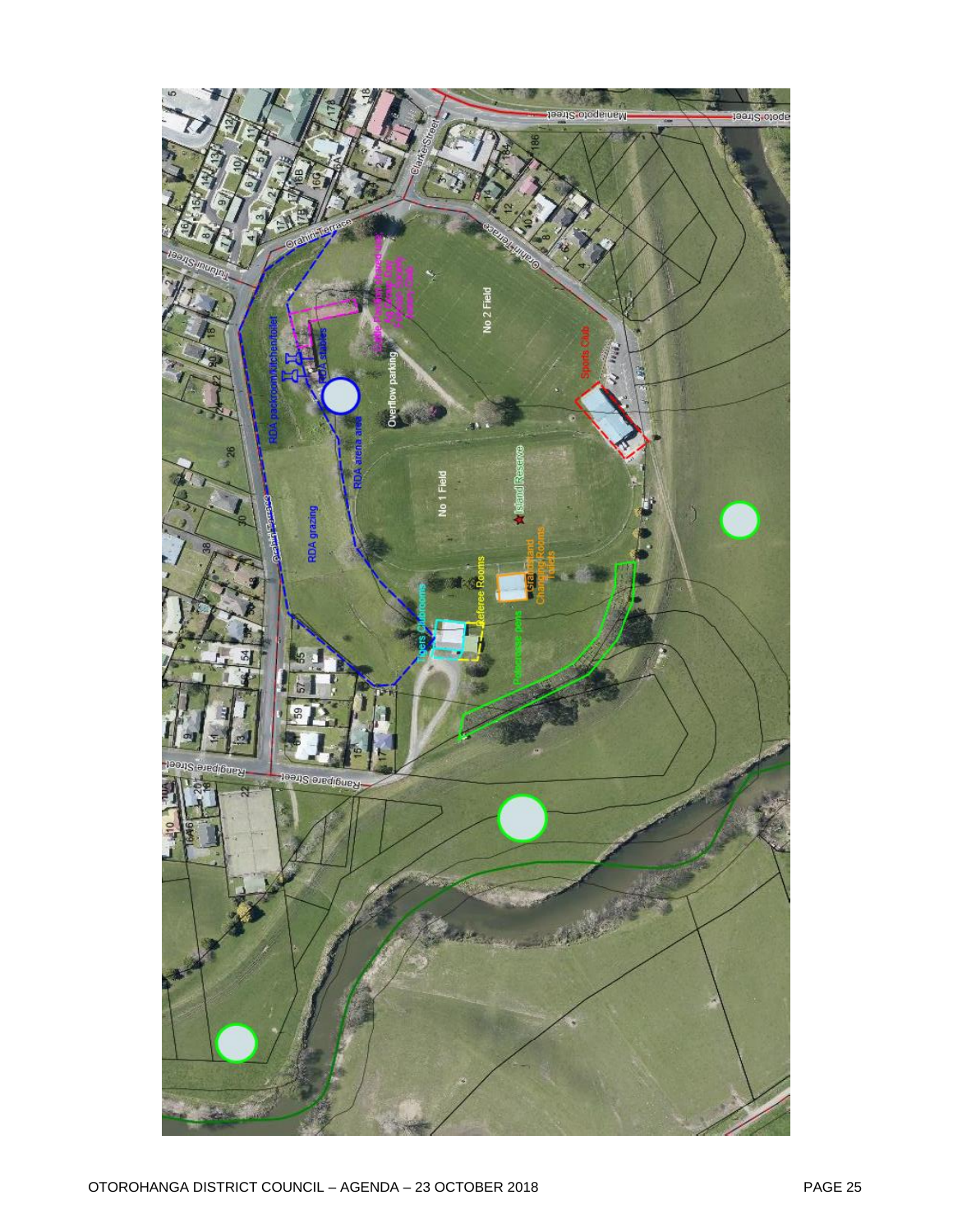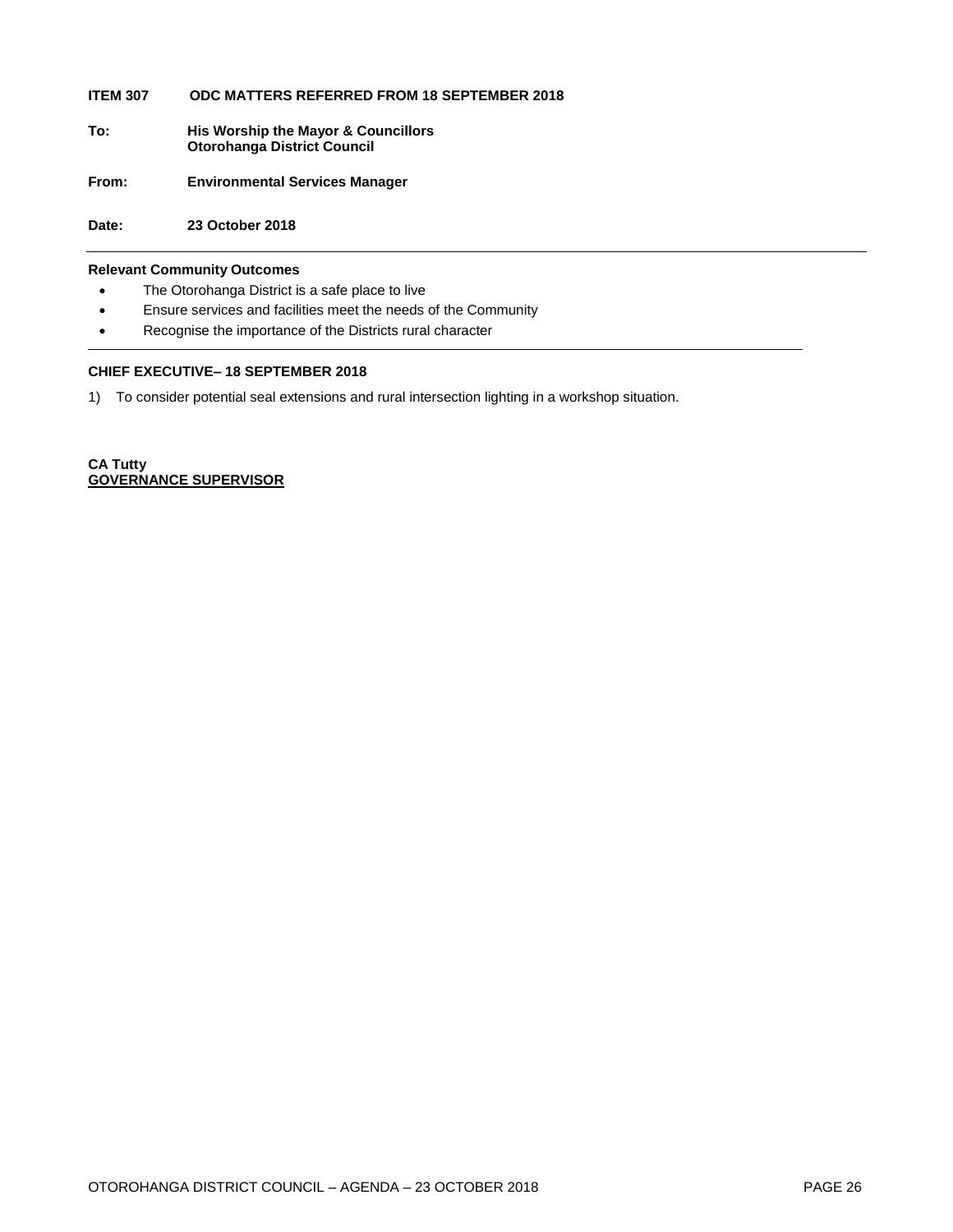#### **ITEM 307 ODC MATTERS REFERRED FROM 18 SEPTEMBER 2018**

- **To: His Worship the Mayor & Councillors Otorohanga District Council**
- **From: Environmental Services Manager**

**Date: 23 October 2018**

#### **Relevant Community Outcomes**

- The Otorohanga District is a safe place to live
- Ensure services and facilities meet the needs of the Community
- Recognise the importance of the Districts rural character

#### **CHIEF EXECUTIVE– 18 SEPTEMBER 2018**

1) To consider potential seal extensions and rural intersection lighting in a workshop situation.

**CA Tutty GOVERNANCE SUPERVISOR**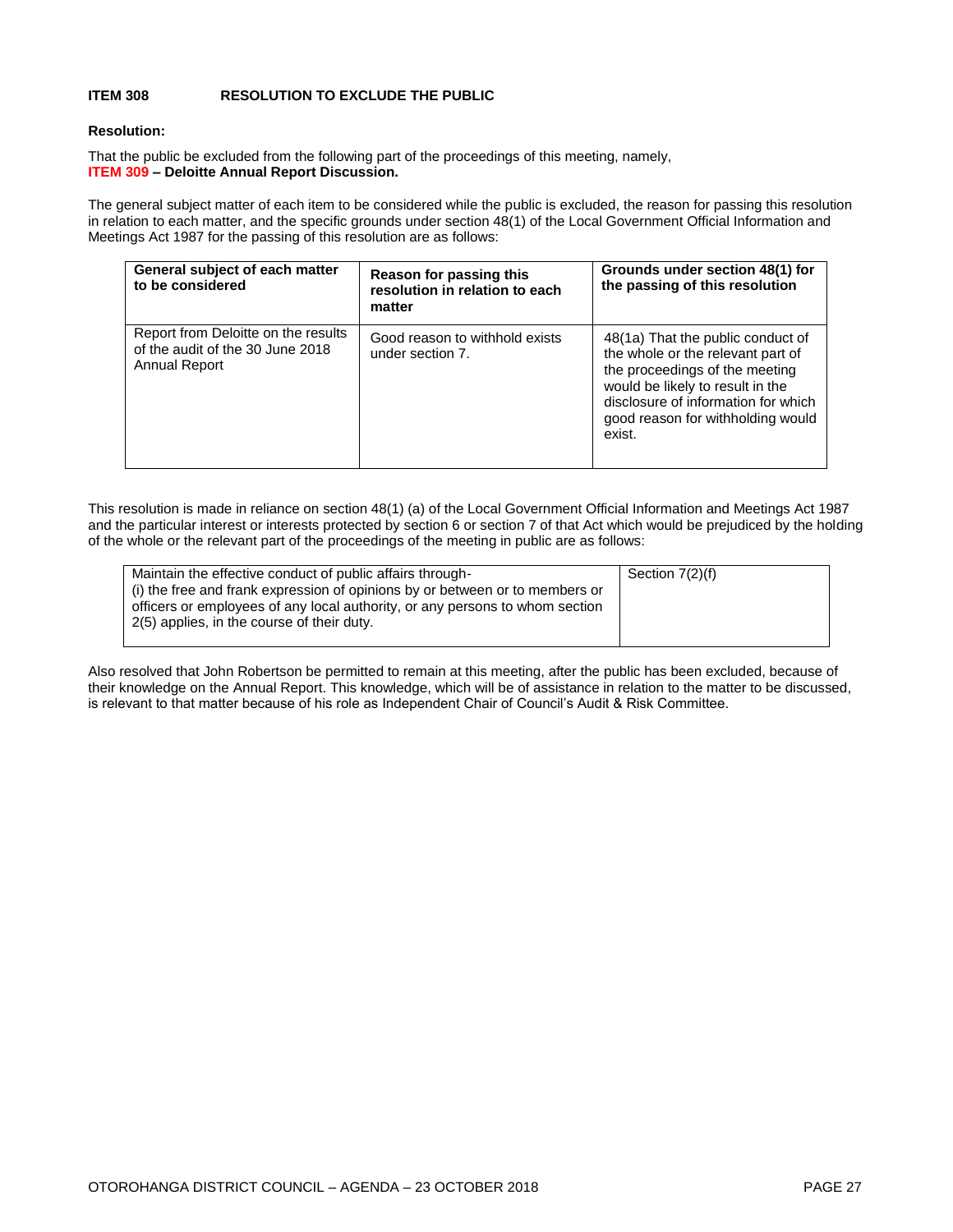#### **ITEM 308 RESOLUTION TO EXCLUDE THE PUBLIC**

#### **Resolution:**

That the public be excluded from the following part of the proceedings of this meeting, namely, **ITEM 309 – Deloitte Annual Report Discussion.**

The general subject matter of each item to be considered while the public is excluded, the reason for passing this resolution in relation to each matter, and the specific grounds under section 48(1) of the Local Government Official Information and Meetings Act 1987 for the passing of this resolution are as follows:

| General subject of each matter<br>to be considered                                              | Reason for passing this<br>resolution in relation to each<br>matter | Grounds under section 48(1) for<br>the passing of this resolution                                                                                                                                                                  |
|-------------------------------------------------------------------------------------------------|---------------------------------------------------------------------|------------------------------------------------------------------------------------------------------------------------------------------------------------------------------------------------------------------------------------|
| Report from Deloitte on the results<br>of the audit of the 30 June 2018<br><b>Annual Report</b> | Good reason to withhold exists<br>under section 7.                  | 48(1a) That the public conduct of<br>the whole or the relevant part of<br>the proceedings of the meeting<br>would be likely to result in the<br>disclosure of information for which<br>good reason for withholding would<br>exist. |

This resolution is made in reliance on section 48(1) (a) of the Local Government Official Information and Meetings Act 1987 and the particular interest or interests protected by section 6 or section 7 of that Act which would be prejudiced by the holding of the whole or the relevant part of the proceedings of the meeting in public are as follows:

| Maintain the effective conduct of public affairs through-                    | Section 7(2)(f) |
|------------------------------------------------------------------------------|-----------------|
| (i) the free and frank expression of opinions by or between or to members or |                 |
| officers or employees of any local authority, or any persons to whom section |                 |
| 2(5) applies, in the course of their duty.                                   |                 |
|                                                                              |                 |

Also resolved that John Robertson be permitted to remain at this meeting, after the public has been excluded, because of their knowledge on the Annual Report. This knowledge, which will be of assistance in relation to the matter to be discussed, is relevant to that matter because of his role as Independent Chair of Council's Audit & Risk Committee.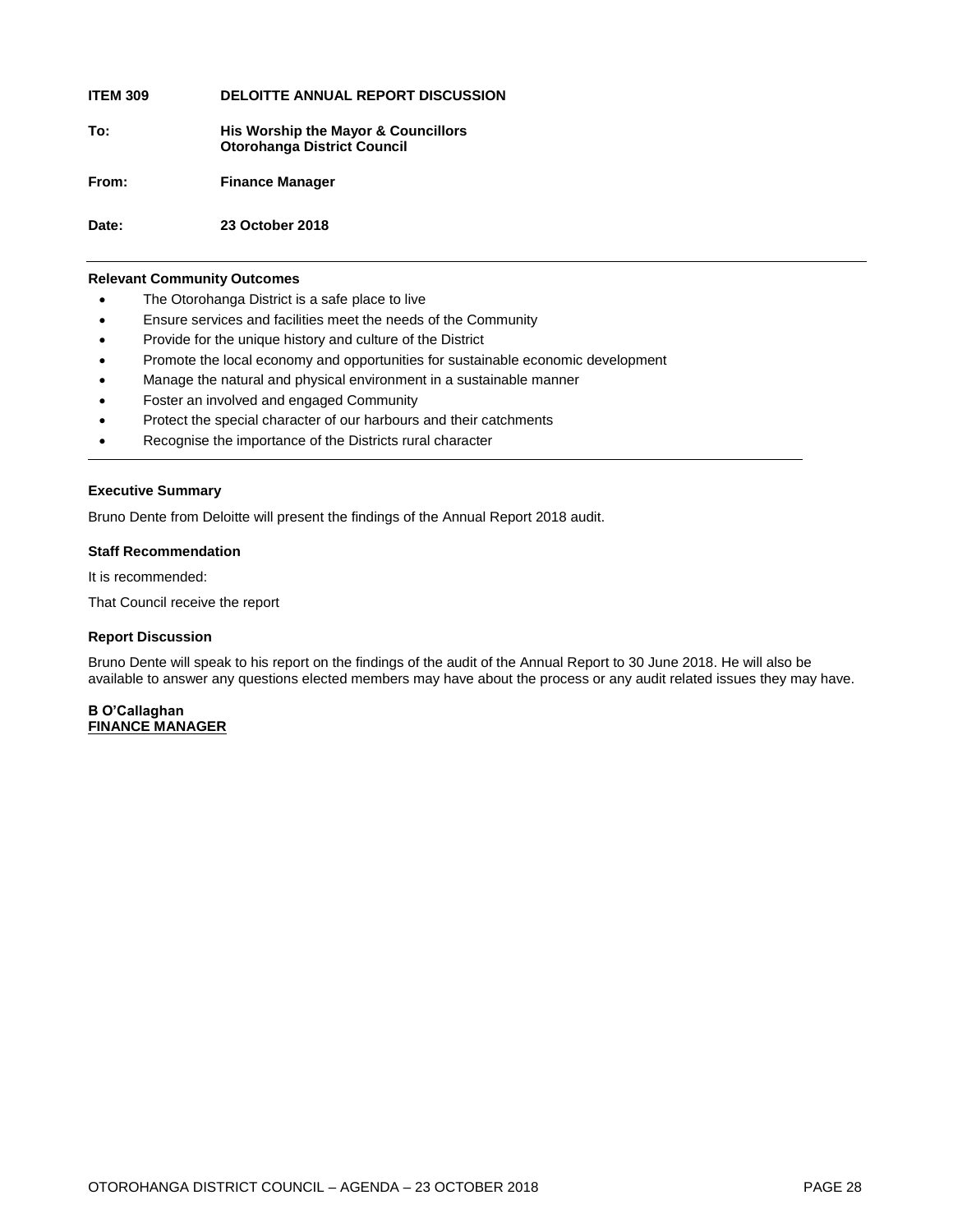**ITEM 309 DELOITTE ANNUAL REPORT DISCUSSION**

**To: His Worship the Mayor & Councillors Otorohanga District Council**

**From: Finance Manager**

**Date: 23 October 2018**

#### **Relevant Community Outcomes**

- The Otorohanga District is a safe place to live
- Ensure services and facilities meet the needs of the Community
- Provide for the unique history and culture of the District
- Promote the local economy and opportunities for sustainable economic development
- Manage the natural and physical environment in a sustainable manner
- Foster an involved and engaged Community
- Protect the special character of our harbours and their catchments
- Recognise the importance of the Districts rural character

#### **Executive Summary**

Bruno Dente from Deloitte will present the findings of the Annual Report 2018 audit.

#### **Staff Recommendation**

It is recommended:

That Council receive the report

#### **Report Discussion**

Bruno Dente will speak to his report on the findings of the audit of the Annual Report to 30 June 2018. He will also be available to answer any questions elected members may have about the process or any audit related issues they may have.

#### **B O'Callaghan FINANCE MANAGER**